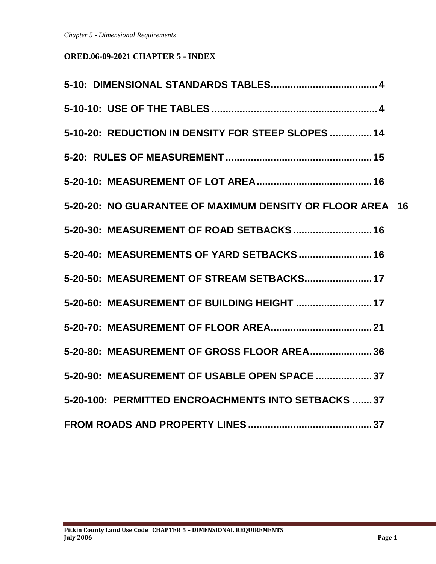# **ORED.06-09-2021 CHAPTER 5 - INDEX**

| 5-10-20: REDUCTION IN DENSITY FOR STEEP SLOPES  14        |
|-----------------------------------------------------------|
|                                                           |
|                                                           |
| 5-20-20: NO GUARANTEE OF MAXIMUM DENSITY OR FLOOR AREA 16 |
| 5-20-30: MEASUREMENT OF ROAD SETBACKS 16                  |
| 5-20-40: MEASUREMENTS OF YARD SETBACKS 16                 |
| 5-20-50: MEASUREMENT OF STREAM SETBACKS 17                |
| 5-20-60: MEASUREMENT OF BUILDING HEIGHT  17               |
|                                                           |
| 5-20-80: MEASUREMENT OF GROSS FLOOR AREA 36               |
| 5-20-90: MEASUREMENT OF USABLE OPEN SPACE  37             |
| 5-20-100: PERMITTED ENCROACHMENTS INTO SETBACKS  37       |
|                                                           |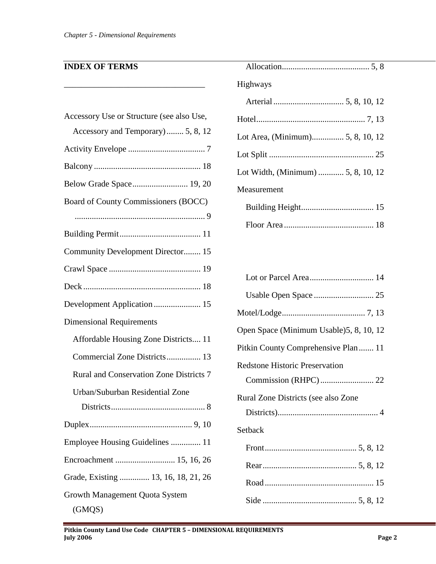\_\_\_\_\_\_\_\_\_\_\_\_\_\_\_\_\_\_\_\_\_\_\_\_\_\_\_\_\_\_\_\_\_

# **INDEX OF TERMS**

| Accessory Use or Structure (see also Use, |
|-------------------------------------------|
| Accessory and Temporary) 5, 8, 12         |
|                                           |
|                                           |
| Below Grade Space 19, 20                  |
| Board of County Commissioners (BOCC)      |
|                                           |
|                                           |
| Community Development Director 15         |
|                                           |
|                                           |
| Development Application  15               |
| <b>Dimensional Requirements</b>           |
| Affordable Housing Zone Districts 11      |
| Commercial Zone Districts 13              |
| Rural and Conservation Zone Districts 7   |
| Urban/Suburban Residential Zone           |
|                                           |
|                                           |
| Employee Housing Guidelines  11           |
| Encroachment  15, 16, 26                  |
| Grade, Existing  13, 16, 18, 21, 26       |
| Growth Management Quota System            |
| (GMQS)                                    |

| Highways                           |
|------------------------------------|
|                                    |
|                                    |
| Lot Area, (Minimum) 5, 8, 10, 12   |
|                                    |
| Lot Width, (Minimum)  5, 8, 10, 12 |
| Measurement                        |
|                                    |
|                                    |

| Lot or Parcel Area 14                    |
|------------------------------------------|
|                                          |
|                                          |
| Open Space (Minimum Usable) 5, 8, 10, 12 |
| Pitkin County Comprehensive Plan 11      |
| <b>Redstone Historic Preservation</b>    |
|                                          |
| Rural Zone Districts (see also Zone      |
|                                          |
| Setback                                  |
|                                          |
|                                          |
|                                          |
|                                          |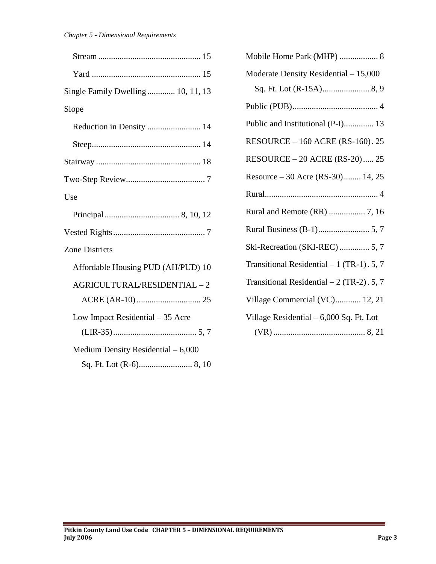| Single Family Dwelling 10, 11, 13   |
|-------------------------------------|
| Slope                               |
| Reduction in Density  14            |
|                                     |
|                                     |
|                                     |
| Use                                 |
|                                     |
|                                     |
| <b>Zone Districts</b>               |
| Affordable Housing PUD (AH/PUD) 10  |
| AGRICULTURAL/RESIDENTIAL-2          |
|                                     |
| Low Impact Residential – 35 Acre    |
|                                     |
| Medium Density Residential $-6,000$ |
|                                     |

| Mobile Home Park (MHP)  8                 |
|-------------------------------------------|
| Moderate Density Residential - 15,000     |
|                                           |
|                                           |
| Public and Institutional (P-I) 13         |
| <b>RESOURCE - 160 ACRE (RS-160). 25</b>   |
| RESOURCE - 20 ACRE (RS-20) 25             |
| Resource – 30 Acre (RS-30) 14, 25         |
|                                           |
|                                           |
|                                           |
| Ski-Recreation (SKI-REC)  5, 7            |
| Transitional Residential - 1 (TR-1). 5, 7 |
| Transitional Residential - 2 (TR-2). 5, 7 |
| Village Commercial (VC) 12, 21            |
| Village Residential - 6,000 Sq. Ft. Lot   |
|                                           |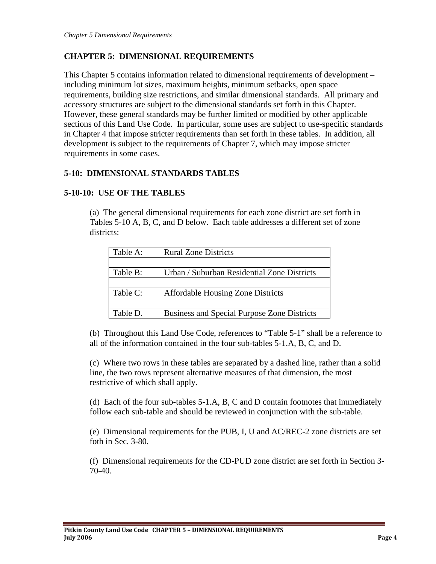### **CHAPTER 5: DIMENSIONAL REQUIREMENTS**

This Chapter 5 contains information related to dimensional requirements of development – including minimum lot sizes, maximum heights, minimum setbacks, open space requirements, building size restrictions, and similar dimensional standards. All primary and accessory structures are subject to the dimensional standards set forth in this Chapter. However, these general standards may be further limited or modified by other applicable sections of this Land Use Code. In particular, some uses are subject to use-specific standards in Chapter 4 that impose stricter requirements than set forth in these tables. In addition, all development is subject to the requirements of Chapter 7, which may impose stricter requirements in some cases.

### <span id="page-3-0"></span>**5-10: DIMENSIONAL STANDARDS TABLES**

### <span id="page-3-1"></span>**5-10-10: USE OF THE TABLES**

(a) The general dimensional requirements for each zone district are set forth in Tables 5-10 A, B, C, and D below. Each table addresses a different set of zone districts:

| Table A: | <b>Rural Zone Districts</b>                        |
|----------|----------------------------------------------------|
|          |                                                    |
| Table B: | Urban / Suburban Residential Zone Districts        |
|          |                                                    |
| Table C: | <b>Affordable Housing Zone Districts</b>           |
|          |                                                    |
| Table D. | <b>Business and Special Purpose Zone Districts</b> |

(b) Throughout this Land Use Code, references to "Table 5-1" shall be a reference to all of the information contained in the four sub-tables 5-1.A, B, C, and D.

(c) Where two rows in these tables are separated by a dashed line, rather than a solid line, the two rows represent alternative measures of that dimension, the most restrictive of which shall apply.

(d) Each of the four sub-tables 5-1.A, B, C and D contain footnotes that immediately follow each sub-table and should be reviewed in conjunction with the sub-table.

(e) Dimensional requirements for the PUB, I, U and AC/REC-2 zone districts are set foth in Sec. 3-80.

(f) Dimensional requirements for the CD-PUD zone district are set forth in Section 3- 70-40.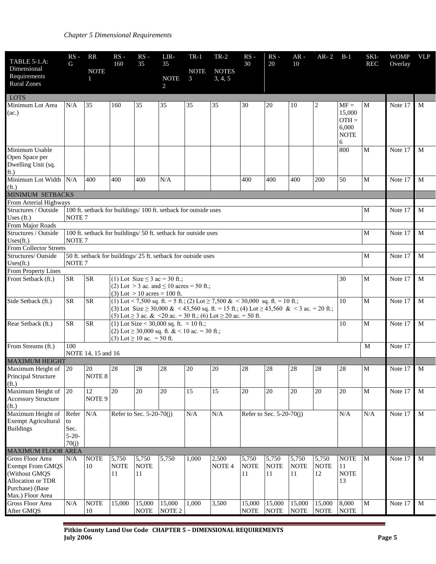| TABLE 5-1.A:<br>Dimensional<br>Requirements<br><b>Rural Zones</b>                                           | $RS -$<br>G                                                                         | RR<br><b>NOTE</b><br>$\mathbf{1}$ | $RS -$<br>160                                                             | $RS -$<br>35                                                                                                                                                                                                                                                             | LIR-<br>35<br><b>NOTE</b><br>2                                                                | $TR-1$<br><b>NOTE</b><br>3 | $TR-2$<br><b>NOTES</b><br>3, 4, 5 | $RS -$<br>30               | $RS -$<br>20               | $AR -$<br>10               | $AR-2$                     | $B-1$                                                    | SKI-<br><b>REC</b> | <b>WOMP</b><br>Overlay | <b>VLP</b>  |
|-------------------------------------------------------------------------------------------------------------|-------------------------------------------------------------------------------------|-----------------------------------|---------------------------------------------------------------------------|--------------------------------------------------------------------------------------------------------------------------------------------------------------------------------------------------------------------------------------------------------------------------|-----------------------------------------------------------------------------------------------|----------------------------|-----------------------------------|----------------------------|----------------------------|----------------------------|----------------------------|----------------------------------------------------------|--------------------|------------------------|-------------|
| <b>LOTS</b>                                                                                                 |                                                                                     |                                   |                                                                           |                                                                                                                                                                                                                                                                          |                                                                                               |                            |                                   |                            |                            |                            |                            |                                                          |                    |                        |             |
| Minimum Lot Area<br>(ac.)                                                                                   | N/A                                                                                 | 35                                | 160                                                                       | 35                                                                                                                                                                                                                                                                       | 35                                                                                            | 35                         | 35                                | 30                         | 20                         | 10                         | 2                          | $MF =$<br>15,000<br>$OTH =$<br>6,000<br><b>NOTE</b><br>6 | M                  | Note 17                | M           |
| Minimum Usable<br>Open Space per<br>Dwelling Unit (sq.<br>ft.)                                              |                                                                                     |                                   |                                                                           |                                                                                                                                                                                                                                                                          |                                                                                               |                            |                                   |                            |                            |                            |                            | 800                                                      | M                  | Note 17                | M           |
| Minimum Lot Width N/A<br>(f <sub>t</sub> )                                                                  |                                                                                     | 400                               | 400                                                                       | 400                                                                                                                                                                                                                                                                      | N/A                                                                                           |                            |                                   | 400                        | 400                        | 400                        | 200                        | 50                                                       | M                  | Note 17                | M           |
| MINIMUM SETBACKS                                                                                            |                                                                                     |                                   |                                                                           |                                                                                                                                                                                                                                                                          |                                                                                               |                            |                                   |                            |                            |                            |                            |                                                          |                    |                        |             |
| From Arterial Highways<br>Structures / Outside<br>Uses $(ft.)$                                              | NOTE <sub>7</sub>                                                                   |                                   |                                                                           |                                                                                                                                                                                                                                                                          | 100 ft. setback for buildings/ 100 ft. setback for outside uses                               |                            |                                   |                            |                            |                            |                            |                                                          | M                  | Note 17                | M           |
| From Major Roads                                                                                            |                                                                                     |                                   |                                                                           |                                                                                                                                                                                                                                                                          |                                                                                               |                            |                                   |                            |                            |                            |                            |                                                          |                    |                        |             |
| Structures / Outside<br>Uses(ft.)                                                                           | 100 ft. setback for buildings/ 50 ft. setback for outside uses<br>NOTE <sub>7</sub> |                                   |                                                                           |                                                                                                                                                                                                                                                                          |                                                                                               |                            |                                   |                            |                            |                            |                            | M                                                        | Note 17            | M                      |             |
| <b>From Collector Streets</b><br>Structures/Outside                                                         |                                                                                     |                                   |                                                                           |                                                                                                                                                                                                                                                                          |                                                                                               |                            |                                   |                            |                            |                            |                            |                                                          | M                  | Note 17                | M           |
| Uses(ft.)<br>From Property Lines                                                                            | 50 ft. setback for buildings/ 25 ft. setback for outside uses<br>NOTE <sub>7</sub>  |                                   |                                                                           |                                                                                                                                                                                                                                                                          |                                                                                               |                            |                                   |                            |                            |                            |                            |                                                          |                    |                        |             |
| Front Setback (ft.)                                                                                         | <b>SR</b>                                                                           | <b>SR</b>                         |                                                                           |                                                                                                                                                                                                                                                                          |                                                                                               |                            |                                   |                            |                            |                            |                            | 30                                                       | M                  | Note 17                | M           |
|                                                                                                             |                                                                                     |                                   |                                                                           | (1) Lot Size $\leq 3$ ac = 30 ft.;<br>(2) Lot > 3 ac. and $\leq 10$ acres = 50 ft.;<br>$(3)$ Lot $> 10$ acres = 100 ft.                                                                                                                                                  |                                                                                               |                            |                                   |                            |                            |                            |                            |                                                          |                    |                        |             |
| Side Setback (ft.)                                                                                          | <b>SR</b>                                                                           | <b>SR</b>                         |                                                                           | (1) Lot < 7,500 sq. ft. = 5 ft.; (2) Lot $\geq$ 7,500 & < 30,000 sq. ft. = 10 ft.;<br>10<br>(3) Lot Size $\geq$ 30,000 & < 43,560 sq. ft. = 15 ft.; (4) Lot $\geq$ 43,560 & < 3 ac. = 20 ft.;<br>(5) Lot $\geq$ 3 ac. & <20 ac. = 30 ft.; (6) Lot $\geq$ 20 ac. = 50 ft. |                                                                                               |                            |                                   |                            |                            |                            |                            |                                                          | M                  | Note 17                | M           |
| Rear Setback (ft.)                                                                                          | <b>SR</b>                                                                           | <b>SR</b>                         |                                                                           | (3) Lot $\geq 10$ ac. = 50 ft.                                                                                                                                                                                                                                           | (1) Lot Size < 30,000 sq. ft. = 10 ft.;<br>(2) Lot $\geq$ 30,000 sq. ft. & < 10 ac. = 30 ft.; |                            |                                   |                            |                            |                            |                            | 10                                                       | M                  | Note 17                | M           |
| From Streams (ft.)                                                                                          | 100                                                                                 | NOTE 14, 15 and 16                |                                                                           |                                                                                                                                                                                                                                                                          |                                                                                               |                            |                                   |                            |                            |                            |                            |                                                          | M                  | Note 17                |             |
| <b>MAXIMUM HEIGHT</b>                                                                                       |                                                                                     |                                   |                                                                           |                                                                                                                                                                                                                                                                          |                                                                                               |                            |                                   |                            |                            |                            |                            |                                                          |                    |                        |             |
| Maximum Height of $ 20$<br>Principal Structure<br>(f <sub>t</sub> )                                         |                                                                                     | 20<br>NOTE 8                      | 28                                                                        | 28                                                                                                                                                                                                                                                                       | 28                                                                                            | 20                         | 20                                | 28                         | 28                         | 28                         | 28                         | 28                                                       | M                  | Note 17                | $\mathbf M$ |
| Maximum Height of<br><b>Accessory Structure</b><br>(f <sub>t</sub> )                                        | 20                                                                                  | $\overline{12}$<br>NOTE 9         | $\overline{20}$                                                           | 20                                                                                                                                                                                                                                                                       | 20                                                                                            | 15                         | 15                                | 20                         | 20                         | 20                         | 20                         | 20                                                       | M                  | Note 17                | M           |
| Maximum Height of<br><b>Exempt Agricultural</b><br><b>Buildings</b>                                         | Refer<br>to<br>Sec.<br>$5 - 20 -$<br>70(i)                                          | N/A                               | Refer to Sec. 5-20-70(j)<br>N/A<br>N/A<br>Refer to Sec. 5-20-70(j)<br>N/A |                                                                                                                                                                                                                                                                          |                                                                                               |                            |                                   |                            |                            | N/A                        | Note 17                    | M                                                        |                    |                        |             |
| <b>MAXIMUM FLOOR AREA</b>                                                                                   |                                                                                     |                                   |                                                                           |                                                                                                                                                                                                                                                                          |                                                                                               |                            |                                   |                            |                            |                            |                            |                                                          |                    |                        |             |
| <b>Gross Floor Area</b><br><b>Exempt From GMQS</b><br>(Without GMQS<br>Allocation or TDR<br>Purchase) (Base | N/A                                                                                 | <b>NOTE</b><br>10                 | 5,750<br><b>NOTE</b><br>11                                                | 5,750<br><b>NOTE</b><br>11                                                                                                                                                                                                                                               | 5,750                                                                                         | 1,000                      | 2,500<br>NOTE 4                   | 5,750<br><b>NOTE</b><br>11 | 5,750<br><b>NOTE</b><br>11 | 5,750<br><b>NOTE</b><br>11 | 5,750<br><b>NOTE</b><br>12 | <b>NOTE</b><br><sup>11</sup><br><b>NOTE</b><br>13        | M                  | Note 17                | M           |
| Max.) Floor Area<br>Gross Floor Area<br>After GMQS                                                          | $\rm N/A$                                                                           | <b>NOTE</b><br>$10\,$             | 15,000                                                                    | 15,000<br><b>NOTE</b>                                                                                                                                                                                                                                                    | 15,000<br>NOTE <sub>2</sub>                                                                   | 1,000                      | 3,500                             | 15,000<br><b>NOTE</b>      | 15,000<br><b>NOTE</b>      | 15,000<br><b>NOTE</b>      | 15,000<br><b>NOTE</b>      | 8,000<br><b>NOTE</b>                                     | M                  | Note 17                | M           |
|                                                                                                             |                                                                                     |                                   |                                                                           |                                                                                                                                                                                                                                                                          |                                                                                               |                            |                                   |                            |                            |                            |                            |                                                          |                    |                        |             |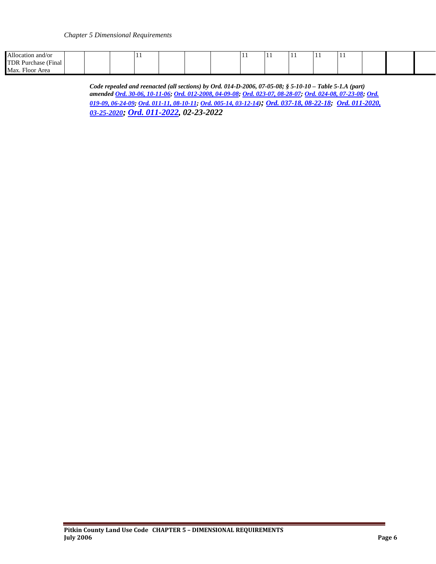| Allocation and/or                 |  | . . |  |  | $\cdot$ | . . | . . | . . |  |  |
|-----------------------------------|--|-----|--|--|---------|-----|-----|-----|--|--|
| 'TDR<br>! Purchase<br>™nal        |  |     |  |  |         |     |     |     |  |  |
| $\sim$<br>Max.<br>Area<br>. Floor |  |     |  |  |         |     |     |     |  |  |

*Code repealed and reenacted (all sections) by Ord. 014-D-2006, 07-05-08; § 5-10-10 – Table 5-1.A (part) amende[d Ord. 30-06, 10-11-06;](http://pitkincounty.com/DocumentCenter/View/8290) [Ord. 012-2008, 04-09-08;](http://pitkincounty.com/DocumentCenter/View/8256) [Ord. 023-07, 08-28-07;](http://pitkincounty.com/DocumentCenter/View/8249) [Ord. 024-08, 07-23-08;](http://pitkincounty.com/DocumentCenter/View/8252) [Ord.](http://pitkincounty.com/DocumentCenter/View/8261)  [019-09, 06-24-09;](http://pitkincounty.com/DocumentCenter/View/8261) [Ord. 011-11, 08-10-11;](http://pitkincounty.com/DocumentCenter/View/8292) [Ord. 005-14, 03-12-14\)](http://pitkincounty.com/DocumentCenter/View/8284); [Ord. 037-18, 08-22-18;](https://pitkincounty.com/DocumentCenter/View/18785/boccord0372018) [Ord. 011-2020,](https://pitkincounty.com/DocumentCenter/View/25865/boccord011-2020)  [03-25-2020;](https://pitkincounty.com/DocumentCenter/View/25865/boccord011-2020) [Ord. 011-2022,](https://pitkincounty.com/DocumentCenter/View/28808/boccord0112022-recorded) 02-23-2022*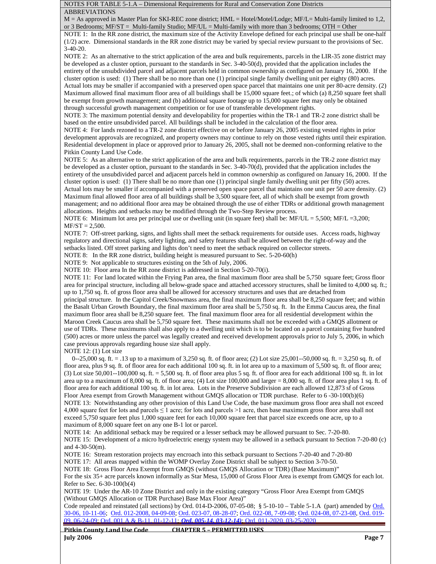NOTES FOR TABLE 5-1.A – Dimensional Requirements for Rural and Conservation Zone Districts ABBREVIATIONS

M = As approved in Master Plan for SKI-REC zone district; HML = Hotel/Motel/Lodge; MF/L= Multi-family limited to 1,2, or 3 Bedrooms; MF/ST = Multi-family Studio; MF/UL = Multi-family with more than 3 bedrooms; OTH = Other

NOTE 1: In the RR zone district, the maximum size of the Activity Envelope defined for each principal use shall be one-half (1/2) acre. Dimensional standards in the RR zone district may be varied by special review pursuant to the provisions of Sec. 3-40-20.

NOTE 2: As an alternative to the strict application of the area and bulk requirements, parcels in the LIR-35 zone district may be developed as a cluster option, pursuant to the standards in Sec. 3-40-50(d), provided that the application includes the entirety of the unsubdivided parcel and adjacent parcels held in common ownership as configured on January 16, 2000. If the cluster option is used: (1) There shall be no more than one (1) principal single family dwelling unit per eighty (80) acres. Actual lots may be smaller if accompanied with a preserved open space parcel that maintains one unit per 80-acre density. (2) Maximum allowed final maximum floor area of all buildings shall be 15,000 square feet.; of which (a) 8,250 square feet shall be exempt from growth management; and (b) additional square footage up to 15,000 square feet may only be obtained through successful growth management competition or for use of transferable development rights.

NOTE 3: The maximum potential density and developability for properties within the TR-1 and TR-2 zone district shall be based on the entire unsubdivided parcel. All buildings shall be included in the calculation of the floor area.

NOTE 4: For lands rezoned to a TR-2 zone district effective on or before January 26, 2005 existing vested rights in prior development approvals are recognized, and property owners may continue to rely on those vested rights until their expiration. Residential development in place or approved prior to January 26, 2005, shall not be deemed non-conforming relative to the Pitkin County Land Use Code.

NOTE 5: As an alternative to the strict application of the area and bulk requirements, parcels in the TR-2 zone district may be developed as a cluster option, pursuant to the standards in Sec. 3-40-70(d), provided that the application includes the entirety of the unsubdivided parcel and adjacent parcels held in common ownership as configured on January 16, 2000. If the cluster option is used: (1) There shall be no more than one (1) principal single family dwelling unit per fifty (50) acres. Actual lots may be smaller if accompanied with a preserved open space parcel that maintains one unit per 50 acre density. (2) Maximum final allowed floor area of all buildings shall be 3,500 square feet, all of which shall be exempt from growth management; and no additional floor area may be obtained through the use of either TDRs or additional growth management allocations. Heights and setbacks may be modified through the Two-Step Review process.

NOTE 6: Minimum lot area per principal use or dwelling unit (in square feet) shall be: MF/UL = 5,500; MF/L =3,200;  $MF/ST = 2,500.$ 

NOTE 7: Off-street parking, signs, and lights shall meet the setback requirements for outside uses. Access roads, highway regulatory and directional signs, safety lighting, and safety features shall be allowed between the right-of-way and the setbacks listed. Off street parking and lights don't need to meet the setback required on collector streets.

NOTE 8: In the RR zone district, building height is measured pursuant to Sec. 5-20-60(h)

NOTE 9: Not applicable to structures existing on the 5th of July, 2006.

NOTE 10: Floor area In the RR zone district is addressed in Section 5-20-70(i).

NOTE 11: For land located within the Frying Pan area, the final maximum floor area shall be 5,750 square feet; Gross floor area for principal structure, including all below-grade space and attached accessory structures, shall be limited to 4,000 sq. ft.; up to 1,750 sq. ft. of gross floor area shall be allowed for accessory structures and uses that are detached from

principal structure. In the Capitol Creek/Snowmass area, the final maximum floor area shall be 8,250 square feet; and within the Basalt Urban Growth Boundary, the final maximum floor area shall be 5,750 sq. ft. In the Emma Caucus area, the final maximum floor area shall be 8,250 square feet. The final maximum floor area for all residential development within the Maroon Creek Caucus area shall be 5,750 square feet. These maximums shall not be exceeded with a GMQS allotment or use of TDRs. These maximums shall also apply to a dwelling unit which is to be located on a parcel containing five hundred (500) acres or more unless the parcel was legally created and received development approvals prior to July 5, 2006, in which case previous approvals regarding house size shall apply.

NOTE 12: (1) Lot size

0--25,000 sq. ft. = .13 up to a maximum of 3,250 sq. ft. of floor area; (2) Lot size 25,001--50,000 sq. ft. = 3,250 sq. ft. of floor area, plus 9 sq. ft. of floor area for each additional 100 sq. ft. in lot area up to a maximum of 5,500 sq. ft. of floor area;  $(3)$  Lot size  $50,001-100,000$  sq. ft.  $= 5,500$  sq. ft. of floor area plus 5 sq. ft. of floor area for each additional 100 sq. ft. in lot area up to a maximum of 8,000 sq. ft. of floor area; (4) Lot size  $100,000$  and larger  $= 8,000$  sq. ft. of floor area plus 1 sq. ft. of floor area for each additional 100 sq. ft. in lot area. Lots in the Preserve Subdivision are each allowed 12,873 sf of Gross Floor Area exempt from Growth Management without GMQS allocation or TDR purchase. Refer to 6 -30-100(b)(6) NOTE 13: Notwithstanding any other provision of this Land Use Code, the base maximum gross floor area shall not exceed 4,000 square feet for lots and parcels  $\leq 1$  acre; for lots and parcels  $\geq 1$  acre, then base maximum gross floor area shall not exceed 5,750 square feet plus 1,000 square feet for each 10,000 square feet that parcel size exceeds one acre, up to a maximum of 8,000 square feet on any one B-1 lot or parcel.

NOTE 14: An additional setback may be required or a lesser setback may be allowed pursuant to Sec. 7-20-80. NOTE 15: Development of a micro hydroelectric energy system may be allowed in a setback pursuant to Section 7-20-80 (c) and 4-30-50(m).

NOTE 16: Stream restoration projects may encroach into this setback pursuant to Sections 7-20-40 and 7-20-80

NOTE 17: All areas mapped within the WOMP Overlay Zone District shall be subject to Section 3-70-50.

NOTE 18: Gross Floor Area Exempt from GMQS (without GMQS Allocation or TDR) (Base Maximum)"

For the six 35+ acre parcels known informally as Star Mesa, 15,000 of Gross Floor Area is exempt from GMQS for each lot. Refer to Sec. 6-30-100(b(4)

NOTE 19: Under the AR-10 Zone District and only in the existing category "Gross Floor Area Exempt from GMQS (Without GMQS Allocation or TDR Purchase) Base Max Floor Area)"

Code repealed and reinstated (all sections) by Ord. 014-D-2006, 07-05-08; § 5-10-10 – Table 5-1.A (part) amended b[y Ord.](http://pitkincounty.com/DocumentCenter/View/8290) [30-06, 10-11-06;](http://pitkincounty.com/DocumentCenter/View/8290) Ord. [012-2008, 04-09-08;](http://pitkincounty.com/DocumentCenter/View/8256) Ord. [023-07, 08-28-07;](http://pitkincounty.com/DocumentCenter/View/8249) [Ord. 022-08, 7-09-08;](http://pitkincounty.com/DocumentCenter/View/8258) [Ord. 024-08, 07-23-08,](http://pitkincounty.com/DocumentCenter/View/8252) [Ord. 019-](http://pitkincounty.com/DocumentCenter/View/8261) [09, 06-24-09;](http://pitkincounty.com/DocumentCenter/View/8261) [Ord. 001 A & B-11, 01-12-11;](http://pitkincounty.com/DocumentCenter/View/8269) *[Ord. 005-14, 03-12-14\)](http://pitkincounty.com/DocumentCenter/View/8284)*[; Ord. 011-2020, 03-25-2020](https://pitkincounty.com/DocumentCenter/View/25865/boccord011-2020)

**Pitkin County Land Use Code CHAPTER 5 – PERMITTED USES July 2006 Page 7**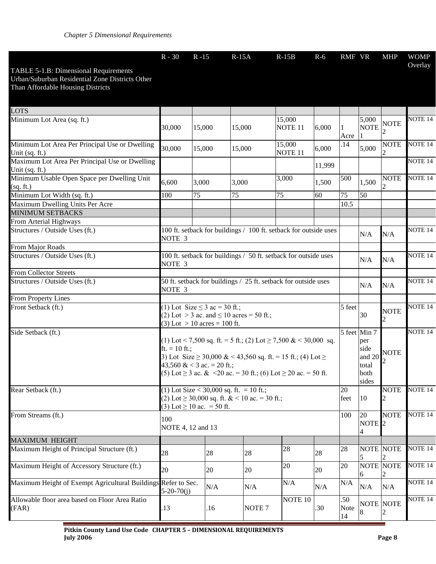|                                                                                                                               | $R - 30$                                                                                                                                                                                                                                                                   | $R - 15$ | $R-15A$                                       | $R-15B$                                               | $R-6$              | RMF VR             |                         | <b>MHP</b>            | <b>WOMP</b><br>Overlay |
|-------------------------------------------------------------------------------------------------------------------------------|----------------------------------------------------------------------------------------------------------------------------------------------------------------------------------------------------------------------------------------------------------------------------|----------|-----------------------------------------------|-------------------------------------------------------|--------------------|--------------------|-------------------------|-----------------------|------------------------|
| TABLE 5-1.B: Dimensional Requirements<br>Urban/Suburban Residential Zone Districts Other<br>Than Affordable Housing Districts |                                                                                                                                                                                                                                                                            |          |                                               |                                                       |                    |                    |                         |                       |                        |
| LOTS                                                                                                                          |                                                                                                                                                                                                                                                                            |          |                                               |                                                       |                    |                    |                         |                       |                        |
| Minimum Lot Area (sq. ft.)                                                                                                    | 30,000                                                                                                                                                                                                                                                                     | 15,000   | 15,000                                        | 15,000<br>NOTE <sub>11</sub>                          | 6,000              | Acre               | 5,000<br><b>NOTE</b>    | $\operatorname{NOTE}$ | NOTE <sub>14</sub>     |
| Minimum Lot Area Per Principal Use or Dwelling<br>Unit (sq. ft.)                                                              | 30,000                                                                                                                                                                                                                                                                     | 15,000   | 15,000                                        | 15,000<br>NOTE <sub>11</sub>                          | 6,000              | .14                | 5,000                   | <b>NOTE</b>           | NOTE <sub>14</sub>     |
| Maximum Lot Area Per Principal Use or Dwelling<br>Unit (sq. ft.)                                                              |                                                                                                                                                                                                                                                                            |          |                                               |                                                       | 11,999             |                    |                         |                       | NOTE <sub>14</sub>     |
| Minimum Usable Open Space per Dwelling Unit<br>(sq. ft.)                                                                      | 6,600                                                                                                                                                                                                                                                                      | 3,000    | 3,000                                         | 3,000                                                 | 1,500              | 500                | 1,500                   | <b>NOTE</b>           | NOTE <sub>14</sub>     |
| Minimum Lot Width (sq. ft.)<br>Maximum Dwelling Units Per Acre                                                                | 100                                                                                                                                                                                                                                                                        | 75       | 75                                            | 75                                                    | 60                 | 75<br>10.5         | 50                      |                       |                        |
| <b>MINIMUM SETBACKS</b>                                                                                                       |                                                                                                                                                                                                                                                                            |          |                                               |                                                       |                    |                    |                         |                       |                        |
| From Arterial Highways                                                                                                        |                                                                                                                                                                                                                                                                            |          |                                               |                                                       |                    |                    |                         |                       |                        |
| Structures / Outside Uses (ft.)                                                                                               | 100 ft. setback for buildings / 100 ft. setback for outside uses<br>NOTE <sub>3</sub>                                                                                                                                                                                      |          | N/A                                           | N/A                                                   | NOTE <sub>14</sub> |                    |                         |                       |                        |
| From Major Roads                                                                                                              |                                                                                                                                                                                                                                                                            |          |                                               |                                                       |                    |                    |                         |                       |                        |
| Structures / Outside Uses (ft.)                                                                                               | 100 ft. setback for buildings / 50 ft. setback for outside uses<br>NOTE <sub>3</sub>                                                                                                                                                                                       |          |                                               |                                                       | N/A                | N/A                | NOTE <sub>14</sub>      |                       |                        |
| <b>From Collector Streets</b>                                                                                                 |                                                                                                                                                                                                                                                                            |          |                                               |                                                       |                    |                    |                         |                       |                        |
| Structures / Outside Uses (ft.)                                                                                               | 50 ft. setback for buildings / 25 ft. setback for outside uses<br>NOTE <sub>3</sub>                                                                                                                                                                                        |          |                                               | N/A                                                   | N/A                | NOTE <sub>14</sub> |                         |                       |                        |
| From Property Lines                                                                                                           |                                                                                                                                                                                                                                                                            |          |                                               |                                                       |                    |                    |                         |                       |                        |
| Front Setback (ft.)                                                                                                           | (1) Lot Size $\leq$ 3 ac = 30 ft.;<br>(3) Lot $> 10$ acres = 100 ft.                                                                                                                                                                                                       |          | (2) Lot > 3 ac. and $\leq 10$ acres = 50 ft.; |                                                       |                    | 5 feet             | 30                      | <b>NOTE</b>           | NOTE <sub>14</sub>     |
| Side Setback (ft.)                                                                                                            | (1) Lot < 7,500 sq. ft. = 5 ft.; (2) Lot $\geq$ 7,500 & < 30,000 sq.<br>$ft. = 10 ft.$ ;<br>3) Lot Size $\geq$ 30,000 & < 43,560 sq. ft. = 15 ft.; (4) Lot $\geq$<br>43,560 & < 3 ac. = 20 ft.;<br>(5) Lot $\geq$ 3 ac. & <20 ac. = 30 ft.; (6) Lot $\geq$ 20 ac. = 50 ft. |          |                                               | 5 feet Min 7<br>per<br>side<br>total<br>both<br>sides | and $20$ NOTE      | NOTE <sub>14</sub> |                         |                       |                        |
| Rear Setback (ft.)                                                                                                            | (1) Lot Size < 30,000 sq. ft. = 10 ft.;<br>(2) Lot $\geq$ 30,000 sq. ft. & < 10 ac. = 30 ft.;<br>(3) Lot $\geq 10$ ac. = 50 ft.                                                                                                                                            |          |                                               | 20<br>feet                                            | 10                 | <b>NOTE</b>        | NOTE <sub>14</sub>      |                       |                        |
| From Streams (ft.)                                                                                                            | 100<br>NOTE 4, 12 and 13                                                                                                                                                                                                                                                   |          |                                               |                                                       |                    | 100                | 20<br>NOTE <sub>2</sub> | <b>NOTE</b>           | NOTE <sub>14</sub>     |
| <b>MAXIMUM HEIGHT</b>                                                                                                         |                                                                                                                                                                                                                                                                            |          |                                               |                                                       |                    |                    |                         |                       |                        |
| Maximum Height of Principal Structure (ft.)                                                                                   | 28                                                                                                                                                                                                                                                                         | 28       | 28                                            | 28                                                    | 28                 | 28                 |                         | <b>NOTE NOTE</b>      | NOTE <sub>14</sub>     |
| Maximum Height of Accessory Structure (ft.)                                                                                   | 20                                                                                                                                                                                                                                                                         | 20       | 20                                            | 20                                                    | 20                 | 20                 | 6                       | <b>NOTE NOTE</b>      | NOTE <sub>14</sub>     |
| Maximum Height of Exempt Agricultural Buildings                                                                               | Refer to Sec.<br>$5 - 20 - 70(i)$                                                                                                                                                                                                                                          | N/A      | N/A                                           | N/A                                                   | N/A                | N/A                | N/A                     | N/A                   | NOTE <sub>14</sub>     |
| Allowable floor area based on Floor Area Ratio<br>(FAR)                                                                       | .13                                                                                                                                                                                                                                                                        | .16      | NOTE <sub>7</sub>                             | NOTE 10                                               | .30                | .50<br>Note<br>14  |                         | <b>NOTE</b> NOTE      | NOTE <sub>14</sub>     |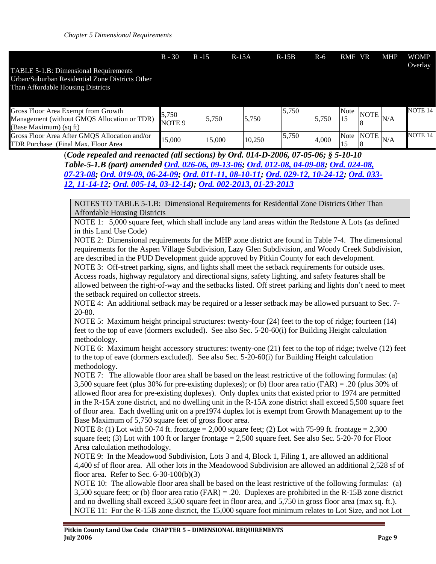|                                                 | $R - 30$ | R -15 | $R-15A$ | $R-15B$ | $R-6$ | RMF VR          | <b>MHP</b> | WOMP<br>Overlay |
|-------------------------------------------------|----------|-------|---------|---------|-------|-----------------|------------|-----------------|
| TABLE 5-1.B: Dimensional Requirements           |          |       |         |         |       |                 |            |                 |
| Urban/Suburban Residential Zone Districts Other |          |       |         |         |       |                 |            |                 |
| Than Affordable Housing Districts               |          |       |         |         |       |                 |            |                 |
|                                                 |          |       |         |         |       |                 |            |                 |
| Gross Floor Area Exempt from Growth             |          |       |         | IS 750  |       | N <sub>of</sub> |            | <b>NOTE 14</b>  |

| Gross Floor Area Exempt from Growth<br>Management (without GMOS Allocation or TDR)<br>(Base Maximum) (sq ft) | <i>3</i> ,750<br>NOTE <sub>9</sub> | 5,750  | 5.750  | 5,750 | 5,750 | Note |                 | $\overline{N}$ INOTE $N/A$ | NOTE 14 |
|--------------------------------------------------------------------------------------------------------------|------------------------------------|--------|--------|-------|-------|------|-----------------|----------------------------|---------|
| Gross Floor Area After GMOS Allocation and/or<br>TDR Purchase (Final Max. Floor Area)                        | 15.000                             | 15.000 | 10.250 | 5,750 | 4.000 |      | $Note  NOTE $ , |                            | NOTE 14 |

(*Code repealed and reenacted (all sections) by Ord. 014-D-2006, 07-05-06; § 5-10-10 Table-5-1.B (part) amended [Ord. 026-06, 09-13-06;](http://pitkincounty.com/DocumentCenter/View/12795) [Ord. 012-08, 04-09-08;](http://pitkincounty.com/DocumentCenter/View/8256) [Ord. 024-08,](http://pitkincounty.com/DocumentCenter/View/8252)  [07-23-08;](http://pitkincounty.com/DocumentCenter/View/8252) [Ord. 019-09, 06-24-09;](http://pitkincounty.com/DocumentCenter/View/8261) Ord. [011-11, 08-10-11;](http://pitkincounty.com/DocumentCenter/View/8292) [Ord. 029-12, 10-24-12;](http://pitkincounty.com/DocumentCenter/View/12801) [Ord. 033-](http://pitkincounty.com/DocumentCenter/View/8273) [12, 11-14-12;](http://pitkincounty.com/DocumentCenter/View/8273) [Ord. 005-14, 03-12-14\)](http://pitkincounty.com/DocumentCenter/View/8284); [Ord. 002-2013, 01-23-2013](http://pitkincounty.com/DocumentCenter/View/8276)*

NOTES TO TABLE 5-1.B: Dimensional Requirements for Residential Zone Districts Other Than Affordable Housing Districts

NOTE 1: 5,000 square feet, which shall include any land areas within the Redstone A Lots (as defined in this Land Use Code)

NOTE 2: Dimensional requirements for the MHP zone district are found in Table 7-4. The dimensional requirements for the Aspen Village Subdivision, Lazy Glen Subdivision, and Woody Creek Subdivision, are described in the PUD Development guide approved by Pitkin County for each development.

NOTE 3: Off-street parking, signs, and lights shall meet the setback requirements for outside uses. Access roads, highway regulatory and directional signs, safety lighting, and safety features shall be allowed between the right-of-way and the setbacks listed. Off street parking and lights don't need to meet the setback required on collector streets.

NOTE 4: An additional setback may be required or a lesser setback may be allowed pursuant to Sec. 7- 20-80.

NOTE 5: Maximum height principal structures: twenty-four (24) feet to the top of ridge; fourteen (14) feet to the top of eave (dormers excluded). See also Sec. 5-20-60(i) for Building Height calculation methodology.

NOTE 6: Maximum height accessory structures: twenty-one (21) feet to the top of ridge; twelve (12) feet to the top of eave (dormers excluded). See also Sec. 5-20-60(i) for Building Height calculation methodology.

NOTE 7: The allowable floor area shall be based on the least restrictive of the following formulas: (a) 3,500 square feet (plus 30% for pre-existing duplexes); or (b) floor area ratio (FAR) = .20 (plus 30% of allowed floor area for pre-existing duplexes). Only duplex units that existed prior to 1974 are permitted in the R-15A zone district, and no dwelling unit in the R-15A zone district shall exceed 5,500 square feet of floor area. Each dwelling unit on a pre1974 duplex lot is exempt from Growth Management up to the Base Maximum of 5,750 square feet of gross floor area.

NOTE 8: (1) Lot with 50-74 ft. frontage = 2,000 square feet; (2) Lot with 75-99 ft. frontage = 2,300 square feet; (3) Lot with 100 ft or larger frontage  $= 2,500$  square feet. See also Sec. 5-20-70 for Floor Area calculation methodology.

NOTE 9: In the Meadowood Subdivision, Lots 3 and 4, Block 1, Filing 1, are allowed an additional 4,400 sf of floor area. All other lots in the Meadowood Subdivision are allowed an additional 2,528 sf of floor area. Refer to Sec. 6-30-100(b)(3)

NOTE 10: The allowable floor area shall be based on the least restrictive of the following formulas: (a) 3,500 square feet; or (b) floor area ratio (FAR) = .20. Duplexes are prohibited in the R-15B zone district and no dwelling shall exceed 3,500 square feet in floor area, and 5,750 in gross floor area (max sq. ft.). NOTE 11: For the R-15B zone district, the 15,000 square foot minimum relates to Lot Size, and not Lot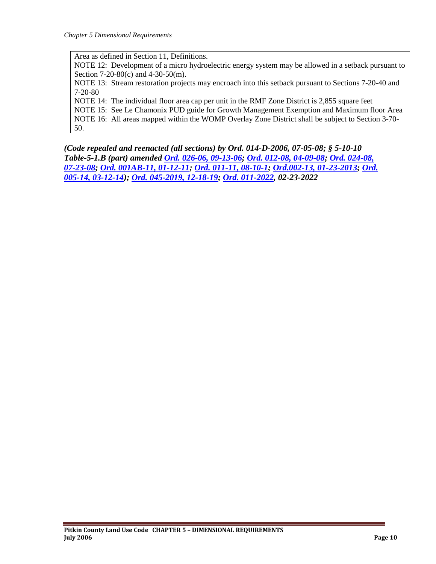Area as defined in Section 11, Definitions.

NOTE 12: Development of a micro hydroelectric energy system may be allowed in a setback pursuant to Section 7-20-80(c) and 4-30-50(m).

NOTE 13: Stream restoration projects may encroach into this setback pursuant to Sections 7-20-40 and 7-20-80

NOTE 14: The individual floor area cap per unit in the RMF Zone District is 2,855 square feet

NOTE 15: See Le Chamonix PUD guide for Growth Management Exemption and Maximum floor Area NOTE 16: All areas mapped within the WOMP Overlay Zone District shall be subject to Section 3-70-

50.

*(Code repealed and reenacted (all sections) by Ord. 014-D-2006, 07-05-08; § 5-10-10 Table-5-1.B (part) amended [Ord. 026-06, 09-13-06;](http://pitkincounty.com/DocumentCenter/View/12795) [Ord. 012-08, 04-09-08;](http://pitkincounty.com/DocumentCenter/View/8256) [Ord. 024-08,](http://pitkincounty.com/DocumentCenter/View/8252)  [07-23-08;](http://pitkincounty.com/DocumentCenter/View/8252) [Ord. 001AB-11, 01-12-11;](http://pitkincounty.com/DocumentCenter/View/8269) [Ord. 011-11, 08-10-1;](http://pitkincounty.com/DocumentCenter/View/8292) [Ord.002-13,](http://pitkincounty.com/DocumentCenter/View/8276) 01-23-2013; [Ord.](http://pitkincounty.com/DocumentCenter/View/8284)  [005-14, 03-12-14\)](http://pitkincounty.com/DocumentCenter/View/8284); [Ord. 045-2019, 12-18-19;](https://pitkincounty.com/DocumentCenter/View/21510/boccord0452019) [Ord. 011-2022,](https://pitkincounty.com/DocumentCenter/View/28808/boccord0112022-recorded) 02-23-2022*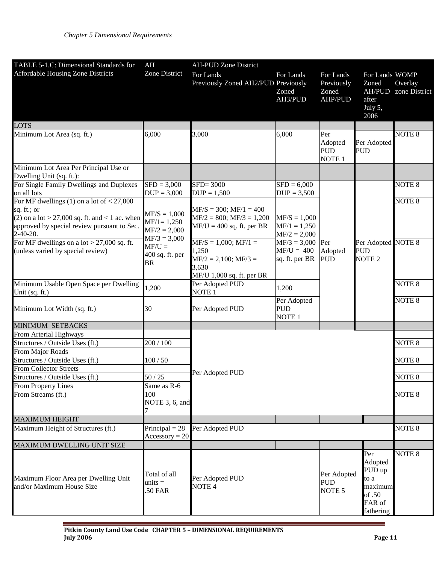| TABLE 5-1.C: Dimensional Standards for                                                                                                                                        | AH                                                                   | <b>AH-PUD Zone District</b>                                                                     |                                                    |                                                    |                                                                              |                          |
|-------------------------------------------------------------------------------------------------------------------------------------------------------------------------------|----------------------------------------------------------------------|-------------------------------------------------------------------------------------------------|----------------------------------------------------|----------------------------------------------------|------------------------------------------------------------------------------|--------------------------|
| <b>Affordable Housing Zone Districts</b>                                                                                                                                      | Zone District                                                        | For Lands<br>Previously Zoned AH2/PUD Previously                                                | For Lands<br>Zoned<br>AH3/PUD                      | For Lands<br>Previously<br>Zoned<br><b>AHP/PUD</b> | For Lands WOMP<br>Zoned<br><b>AH/PUD</b><br>after<br>July 5,<br>2006         | Overlay<br>zone District |
| LOTS                                                                                                                                                                          |                                                                      |                                                                                                 |                                                    |                                                    |                                                                              |                          |
| Minimum Lot Area (sq. ft.)                                                                                                                                                    | 6,000                                                                | 3,000                                                                                           | 6,000                                              | Per<br>Adopted<br><b>PUD</b><br>NOTE <sub>1</sub>  | Per Adopted<br><b>PUD</b>                                                    | NOTE <sub>8</sub>        |
| Minimum Lot Area Per Principal Use or<br>Dwelling Unit (sq. ft.):                                                                                                             |                                                                      |                                                                                                 |                                                    |                                                    |                                                                              |                          |
| For Single Family Dwellings and Duplexes<br>on all lots                                                                                                                       | $SFD = 3,000$<br>$DUP = 3,000$                                       | $SFD = 3000$<br>$DUP = 1,500$                                                                   | $SFD = 6,000$<br>$DUP = 3,500$                     |                                                    |                                                                              | NOTE <sub>8</sub>        |
| For MF dwellings (1) on a lot of $<$ 27,000<br>sq. ft.; or<br>(2) on a lot > 27,000 sq. ft. and < 1 ac. when<br>approved by special review pursuant to Sec.<br>$2 - 40 - 20.$ | $MF/S = 1,000$<br>$MF/1 = 1,250$<br>$MF/2 = 2,000$<br>$MF/3 = 3,000$ | $MF/S = 300$ ; $MF/1 = 400$<br>$MF/2 = 800$ ; $MF/3 = 1,200$<br>$MF/U = 400$ sq. ft. per BR     | $MF/S = 1,000$<br>$MF/1 = 1,250$<br>$MF/2 = 2,000$ |                                                    |                                                                              | NOTE <sub>8</sub>        |
| For MF dwellings on a lot $> 27,000$ sq. ft.<br>(unless varied by special review)                                                                                             | $MF/U =$<br>400 sq. ft. per<br>BR                                    | $MF/S = 1,000; MF/1 =$<br>1,250<br>$MF/2 = 2,100; MF/3 =$<br>3,630<br>MF/U 1,000 sq. ft. per BR | $MF/3 = 3,000$<br>$MF/U = 400$<br>sq. ft. per BR   | Per<br>Adopted<br><b>PUD</b>                       | Per Adopted NOTE 8<br><b>PUD</b><br>NOTE <sub>2</sub>                        |                          |
| Minimum Usable Open Space per Dwelling<br>Unit (sq. ft.)                                                                                                                      | 1,200                                                                | Per Adopted PUD<br>NOTE <sub>1</sub>                                                            | 1,200                                              |                                                    |                                                                              | NOTE <sub>8</sub>        |
| Minimum Lot Width (sq. ft.)                                                                                                                                                   | 30                                                                   | Per Adopted PUD                                                                                 | Per Adopted<br><b>PUD</b><br>NOTE <sub>1</sub>     |                                                    |                                                                              | NOTE <sub>8</sub>        |
| MINIMUM SETBACKS                                                                                                                                                              |                                                                      |                                                                                                 |                                                    |                                                    |                                                                              |                          |
| From Arterial Highways                                                                                                                                                        |                                                                      |                                                                                                 |                                                    |                                                    |                                                                              |                          |
| Structures / Outside Uses (ft.)                                                                                                                                               | 200 / 100                                                            |                                                                                                 |                                                    |                                                    |                                                                              | NOTE <sub>8</sub>        |
| From Major Roads                                                                                                                                                              |                                                                      |                                                                                                 |                                                    |                                                    |                                                                              |                          |
| Structures / Outside Uses (ft.)                                                                                                                                               | 100/50                                                               |                                                                                                 |                                                    |                                                    |                                                                              | NOTE <sub>8</sub>        |
| From Collector Streets                                                                                                                                                        |                                                                      | Per Adopted PUD                                                                                 |                                                    |                                                    |                                                                              |                          |
| Structures / Outside Uses (ft.)                                                                                                                                               | 50/25                                                                |                                                                                                 |                                                    |                                                    |                                                                              | NOTE <sub>8</sub>        |
| <b>From Property Lines</b>                                                                                                                                                    | Same as R-6                                                          |                                                                                                 |                                                    |                                                    |                                                                              |                          |
| From Streams (ft.)                                                                                                                                                            | 100<br>NOTE 3, 6, and                                                |                                                                                                 |                                                    |                                                    |                                                                              | <b>NOTE 8</b>            |
| <b>MAXIMUM HEIGHT</b>                                                                                                                                                         |                                                                      |                                                                                                 |                                                    |                                                    |                                                                              |                          |
| Maximum Height of Structures (ft.)                                                                                                                                            | Principal = $28$<br>$\text{Accessory} = 20$                          | Per Adopted PUD                                                                                 |                                                    |                                                    |                                                                              | NOTE <sub>8</sub>        |
| MAXIMUM DWELLING UNIT SIZE                                                                                                                                                    |                                                                      |                                                                                                 |                                                    |                                                    |                                                                              |                          |
| Maximum Floor Area per Dwelling Unit<br>and/or Maximum House Size                                                                                                             | Total of all<br>$units =$<br>.50 FAR                                 | Per Adopted PUD<br>NOTE <sub>4</sub>                                                            |                                                    | Per Adopted<br><b>PUD</b><br>NOTE <sub>5</sub>     | Per<br>Adopted<br>PUD up<br>to a<br>maximum<br>of .50<br>FAR of<br>fathering | NOTE <sub>8</sub>        |

L,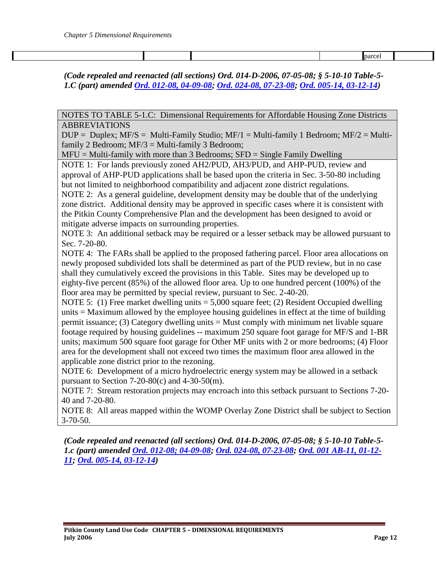parcel

*(Code repealed and reenacted (all sections) Ord. 014-D-2006, 07-05-08; § 5-10-10 Table-5- 1.C (part) amended [Ord. 012-08, 04-09-08;](http://pitkincounty.com/DocumentCenter/View/8256) [Ord. 024-08, 07-23-08;](http://pitkincounty.com/DocumentCenter/View/8252) [Ord. 005-14, 03-12-14\)](http://pitkincounty.com/DocumentCenter/View/8284)*

NOTES TO TABLE 5-1.C: Dimensional Requirements for Affordable Housing Zone Districts ABBREVIATIONS

 $DUP = Duplex$ ; MF/S = Multi-Family Studio; MF/1 = Multi-family 1 Bedroom; MF/2 = Multifamily 2 Bedroom;  $MF/3 = Multi-family 3 Bedroom;$ 

 $MFU = Mult-family with more than 3 Bedrooms; SFD = Single Family Dwelling$ 

NOTE 1: For lands previously zoned AH2/PUD, AH3/PUD, and AHP-PUD, review and approval of AHP-PUD applications shall be based upon the criteria in Sec. 3-50-80 including but not limited to neighborhood compatibility and adjacent zone district regulations.

NOTE 2: As a general guideline, development density may be double that of the underlying zone district. Additional density may be approved in specific cases where it is consistent with the Pitkin County Comprehensive Plan and the development has been designed to avoid or mitigate adverse impacts on surrounding properties.

NOTE 3: An additional setback may be required or a lesser setback may be allowed pursuant to Sec. 7-20-80.

NOTE 4: The FARs shall be applied to the proposed fathering parcel. Floor area allocations on newly proposed subdivided lots shall be determined as part of the PUD review, but in no case shall they cumulatively exceed the provisions in this Table. Sites may be developed up to eighty-five percent (85%) of the allowed floor area. Up to one hundred percent (100%) of the floor area may be permitted by special review, pursuant to Sec. 2-40-20.

NOTE 5: (1) Free market dwelling units = 5,000 square feet; (2) Resident Occupied dwelling units = Maximum allowed by the employee housing guidelines in effect at the time of building permit issuance; (3) Category dwelling units = Must comply with minimum net livable square footage required by housing guidelines -- maximum 250 square foot garage for MF/S and 1-BR units; maximum 500 square foot garage for Other MF units with 2 or more bedrooms; (4) Floor area for the development shall not exceed two times the maximum floor area allowed in the applicable zone district prior to the rezoning.

NOTE 6: Development of a micro hydroelectric energy system may be allowed in a setback pursuant to Section  $7-20-80(c)$  and  $4-30-50(m)$ .

NOTE 7: Stream restoration projects may encroach into this setback pursuant to Sections 7-20- 40 and 7-20-80.

NOTE 8: All areas mapped within the WOMP Overlay Zone District shall be subject to Section 3-70-50.

*(Code repealed and reenacted (all sections) Ord. 014-D-2006, 07-05-08; § 5-10-10 Table-5- 1.c (part) amended [Ord. 012-08; 04-09-08;](http://pitkincounty.com/DocumentCenter/View/8256) [Ord. 024-08, 07-23-08;](http://pitkincounty.com/DocumentCenter/View/8252) [Ord. 001 AB-11, 01-12-](http://pitkincounty.com/DocumentCenter/View/8269) [11;](http://pitkincounty.com/DocumentCenter/View/8269) [Ord. 005-14, 03-12-14\)](http://pitkincounty.com/DocumentCenter/View/8284)*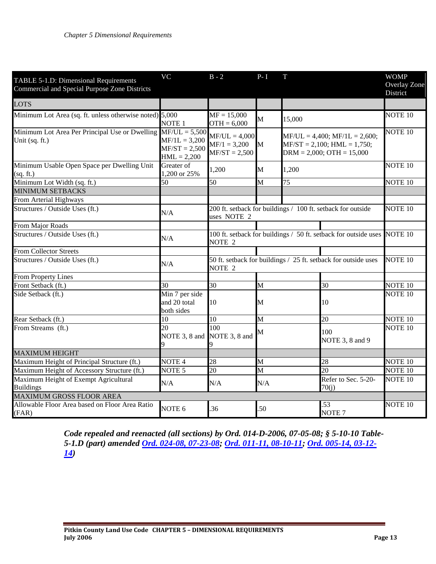| TABLE 5-1.D: Dimensional Requirements<br>Commercial and Special Purpose Zone Districts | <b>VC</b>                                           | $B - 2$                                                                              | $P-I$                           | T                                                                                                   |                              | <b>WOMP</b><br>Overlay Zone<br>District |
|----------------------------------------------------------------------------------------|-----------------------------------------------------|--------------------------------------------------------------------------------------|---------------------------------|-----------------------------------------------------------------------------------------------------|------------------------------|-----------------------------------------|
| <b>LOTS</b>                                                                            |                                                     |                                                                                      |                                 |                                                                                                     |                              |                                         |
| Minimum Lot Area (sq. ft. unless otherwise noted) 5,000                                | NOTE <sub>1</sub>                                   | $MF = 15,000$<br>$OTH = 6,000$                                                       | $\overline{\mathbf{M}}$         | 15,000                                                                                              |                              | <b>NOTE 10</b>                          |
| Minimum Lot Area Per Principal Use or Dwelling $MF/UL = 5,500$<br>Unit (sq. ft.)       | $MF/1L = 3,200$<br>$MF/ST = 2,500$<br>$HML = 2,200$ | $MF/UL = 4,000$<br>$MF/1 = 3,200$<br>$MF/ST = 2,500$                                 | M                               | $MF/UL = 4,400; MF/1L = 2,600;$<br>$MF/ST = 2,100$ ; $HML = 1,750$ ;<br>$DRM = 2,000; OTH = 15,000$ |                              | <b>NOTE 10</b>                          |
| Minimum Usable Open Space per Dwelling Unit<br>(sq. ft.)                               | Greater of<br>1,200 or 25%                          | 1,200                                                                                | M                               | 1,200                                                                                               |                              | <b>NOTE 10</b>                          |
| Minimum Lot Width (sq. ft.)                                                            | 50                                                  | 50                                                                                   | M                               | 75                                                                                                  |                              | <b>NOTE 10</b>                          |
| <b>MINIMUM SETBACKS</b>                                                                |                                                     |                                                                                      |                                 |                                                                                                     |                              |                                         |
| From Arterial Highways                                                                 |                                                     |                                                                                      |                                 |                                                                                                     |                              |                                         |
| Structures / Outside Uses (ft.)                                                        | N/A                                                 | 200 ft. setback for buildings / 100 ft. setback for outside<br>uses NOTE 2           |                                 |                                                                                                     | <b>NOTE 10</b>               |                                         |
| From Major Roads                                                                       |                                                     |                                                                                      |                                 |                                                                                                     |                              |                                         |
| Structures / Outside Uses (ft.)                                                        | N/A                                                 | 100 ft. setback for buildings / 50 ft. setback for outside uses<br>NOTE <sub>2</sub> |                                 |                                                                                                     | <b>NOTE 10</b>               |                                         |
| <b>From Collector Streets</b>                                                          |                                                     |                                                                                      |                                 |                                                                                                     |                              |                                         |
| Structures / Outside Uses (ft.)                                                        | N/A                                                 | 50 ft. setback for buildings / 25 ft. setback for outside uses<br>NOTE <sub>2</sub>  |                                 |                                                                                                     | NOTE <sub>10</sub>           |                                         |
| <b>From Property Lines</b>                                                             |                                                     |                                                                                      |                                 |                                                                                                     |                              |                                         |
| Front Setback (ft.)                                                                    | 30                                                  | 30                                                                                   | M                               |                                                                                                     | 30                           | NOTE <sub>10</sub>                      |
| Side Setback (ft.)                                                                     | Min 7 per side<br>and 20 total<br>both sides        | 10                                                                                   | М                               |                                                                                                     | 10                           | NOTE <sub>10</sub>                      |
| Rear Setback (ft.)                                                                     | 10                                                  | 10                                                                                   | M                               |                                                                                                     | 20                           | <b>NOTE 10</b>                          |
| From Streams (ft.)                                                                     | 20<br>NOTE 3, 8 and                                 | 100<br>NOTE 3, 8 and                                                                 | М                               |                                                                                                     | 100<br>NOTE 3, 8 and 9       | <b>NOTE 10</b>                          |
| <b>MAXIMUM HEIGHT</b>                                                                  |                                                     |                                                                                      |                                 |                                                                                                     |                              |                                         |
| Maximum Height of Principal Structure (ft.)                                            | NOTE <sub>4</sub>                                   | 28                                                                                   | M                               |                                                                                                     | 28                           | <b>NOTE 10</b>                          |
| Maximum Height of Accessory Structure (ft.)                                            | NOTE <sub>5</sub>                                   | $\overline{20}$                                                                      | $\overline{\mathrm{M}}$         |                                                                                                     | $\overline{20}$              | NOTE <sub>10</sub>                      |
| Maximum Height of Exempt Agricultural<br><b>Buildings</b>                              | N/A                                                 | N/A                                                                                  | N/A                             |                                                                                                     | Refer to Sec. 5-20-<br>70(i) | <b>NOTE 10</b>                          |
| <b>MAXIMUM GROSS FLOOR AREA</b>                                                        |                                                     |                                                                                      |                                 |                                                                                                     |                              |                                         |
| Allowable Floor Area based on Floor Area Ratio<br>(FAR)                                | NOTE <sub>6</sub>                                   | .36                                                                                  | .53<br>.50<br>NOTE <sub>7</sub> |                                                                                                     |                              | NOTE <sub>10</sub>                      |

*Code repealed and reenacted (all sections) by Ord. 014-D-2006, 07-05-08; § 5-10-10 Table-5-1.D (part) amended [Ord. 024-08, 07-23-08;](http://pitkincounty.com/DocumentCenter/View/8252) [Ord. 011-11, 08-10-11;](http://pitkincounty.com/DocumentCenter/View/8292) [Ord. 005-14, 03-12-](http://pitkincounty.com/DocumentCenter/View/8284) [14\)](http://pitkincounty.com/DocumentCenter/View/8284)*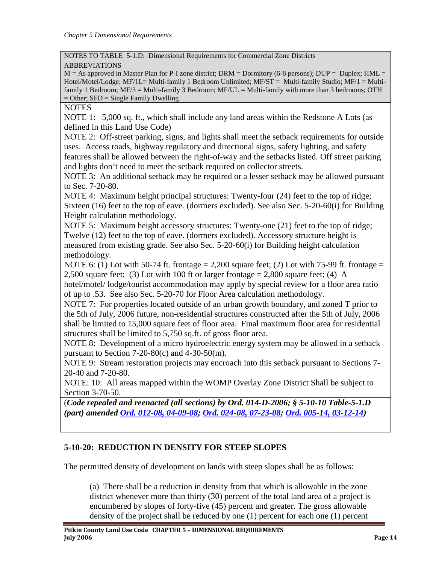#### NOTES TO TABLE 5-1.D: Dimensional Requirements for Commercial Zone Districts

#### ABBREVIATIONS

 $M = As$  approved in Master Plan for P-I zone district; DRM = Dormitory (6-8 persons); DUP = Duplex; HML = Hotel/Motel/Lodge; MF/1L= Multi-family 1 Bedroom Unlimited; MF/ST = Multi-family Studio; MF/1 = Multifamily 1 Bedroom;  $MF/3 = Multi-family 3 Bedroom; MF/UL = Multi-family with more than 3 bedrooms; OTH$  $=$  Other; SFD  $=$  Single Family Dwelling

#### NOTES

NOTE 1: 5,000 sq. ft., which shall include any land areas within the Redstone A Lots (as defined in this Land Use Code)

NOTE 2: Off-street parking, signs, and lights shall meet the setback requirements for outside uses. Access roads, highway regulatory and directional signs, safety lighting, and safety features shall be allowed between the right-of-way and the setbacks listed. Off street parking and lights don't need to meet the setback required on collector streets.

NOTE 3: An additional setback may be required or a lesser setback may be allowed pursuant to Sec. 7-20-80.

NOTE 4: Maximum height principal structures: Twenty-four (24) feet to the top of ridge; Sixteen (16) feet to the top of eave. (dormers excluded). See also Sec. 5-20-60(i) for Building Height calculation methodology.

NOTE 5: Maximum height accessory structures: Twenty-one (21) feet to the top of ridge; Twelve (12) feet to the top of eave. (dormers excluded). Accessory structure height is measured from existing grade. See also Sec. 5-20-60(i) for Building height calculation methodology.

NOTE 6: (1) Lot with 50-74 ft. frontage  $= 2,200$  square feet; (2) Lot with 75-99 ft. frontage  $=$ 2,500 square feet; (3) Lot with 100 ft or larger frontage  $= 2,800$  square feet; (4) A hotel/motel/ lodge/tourist accommodation may apply by special review for a floor area ratio of up to .53. See also Sec. 5-20-70 for Floor Area calculation methodology.

NOTE 7: For properties located outside of an urban growth boundary, and zoned T prior to the 5th of July, 2006 future, non-residential structures constructed after the 5th of July, 2006 shall be limited to 15,000 square feet of floor area. Final maximum floor area for residential structures shall be limited to 5,750 sq.ft. of gross floor area.

NOTE 8: Development of a micro hydroelectric energy system may be allowed in a setback pursuant to Section  $7-20-80(c)$  and  $4-30-50(m)$ .

NOTE 9: Stream restoration projects may encroach into this setback pursuant to Sections 7- 20-40 and 7-20-80.

NOTE: 10: All areas mapped within the WOMP Overlay Zone District Shall be subject to Section 3-70-50.

(*Code repealed and reenacted (all sections) by Ord. 014-D-2006; § 5-10-10 Table-5-1.D (part) amended [Ord. 012-08, 04-09-08;](http://pitkincounty.com/DocumentCenter/View/8256) [Ord. 024-08, 07-23-08;](http://pitkincounty.com/DocumentCenter/View/8252) [Ord. 005-14, 03-12-14\)](http://pitkincounty.com/DocumentCenter/View/8284)*

### <span id="page-13-0"></span>**5-10-20: REDUCTION IN DENSITY FOR STEEP SLOPES**

The permitted density of development on lands with steep slopes shall be as follows:

(a) There shall be a reduction in density from that which is allowable in the zone district whenever more than thirty (30) percent of the total land area of a project is encumbered by slopes of forty-five (45) percent and greater. The gross allowable density of the project shall be reduced by one (1) percent for each one (1) percent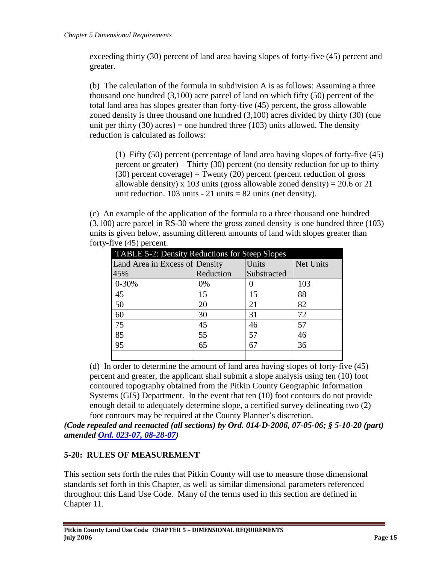exceeding thirty (30) percent of land area having slopes of forty-five (45) percent and greater.

(b) The calculation of the formula in subdivision A is as follows: Assuming a three thousand one hundred (3,100) acre parcel of land on which fifty (50) percent of the total land area has slopes greater than forty-five (45) percent, the gross allowable zoned density is three thousand one hundred (3,100) acres divided by thirty (30) (one unit per thirty (30) acres) = one hundred three (103) units allowed. The density reduction is calculated as follows:

(1) Fifty (50) percent (percentage of land area having slopes of forty-five (45) percent or greater) – Thirty (30) percent (no density reduction for up to thirty (30) percent coverage) = Twenty (20) percent (percent reduction of gross allowable density) x 103 units (gross allowable zoned density) =  $20.6$  or 21 unit reduction.  $103$  units -  $21$  units =  $82$  units (net density).

(c) An example of the application of the formula to a three thousand one hundred (3,100) acre parcel in RS-30 where the gross zoned density is one hundred three (103) units is given below, assuming different amounts of land with slopes greater than forty-five (45) percent.

| TABLE 5-2: Density Reductions for Steep Slopes |           |             |           |  |
|------------------------------------------------|-----------|-------------|-----------|--|
| Land Area in Excess of Density                 |           | Units       | Net Units |  |
| 45%                                            | Reduction | Substracted |           |  |
| $0 - 30%$                                      | 0%        |             | 103       |  |
| 45                                             | 15        | 15          | 88        |  |
| 50                                             | 20        | 21          | 82        |  |
| 60                                             | 30        | 31          | 72        |  |
| 75                                             | 45        | 46          | 57        |  |
| 85                                             | 55        | 57          | 46        |  |
| 95                                             | 65        | 67          | 36        |  |
|                                                |           |             |           |  |

(d) In order to determine the amount of land area having slopes of forty-five (45) percent and greater, the applicant shall submit a slope analysis using ten (10) foot contoured topography obtained from the Pitkin County Geographic Information Systems (GIS) Department. In the event that ten (10) foot contours do not provide enough detail to adequately determine slope, a certified survey delineating two (2) foot contours may be required at the County Planner's discretion.

*(Code repealed and reenacted (all sections) by Ord. 014-D-2006, 07-05-06; § 5-10-20 (part) amended Ord. [023-07, 08-28-07\)](http://pitkincounty.com/DocumentCenter/View/8249)*

## <span id="page-14-0"></span>**5-20: RULES OF MEASUREMENT**

This section sets forth the rules that Pitkin County will use to measure those dimensional standards set forth in this Chapter, as well as similar dimensional parameters referenced throughout this Land Use Code. Many of the terms used in this section are defined in Chapter 11.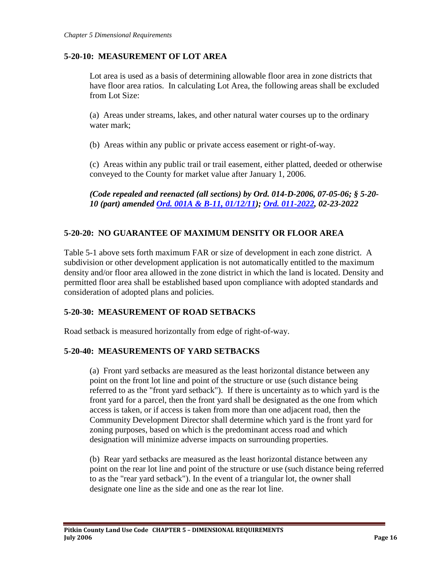### <span id="page-15-0"></span>**5-20-10: MEASUREMENT OF LOT AREA**

Lot area is used as a basis of determining allowable floor area in zone districts that have floor area ratios. In calculating Lot Area, the following areas shall be excluded from Lot Size:

(a) Areas under streams, lakes, and other natural water courses up to the ordinary water mark;

(b) Areas within any public or private access easement or right-of-way.

(c) Areas within any public trail or trail easement, either platted, deeded or otherwise conveyed to the County for market value after January 1, 2006.

*(Code repealed and reenacted (all sections) by Ord. 014-D-2006, 07-05-06; § 5-20- 10 (part) amended [Ord. 001A & B-11, 01/12/11\)](http://pitkincounty.com/DocumentCenter/View/8269); [Ord. 011-2022,](https://pitkincounty.com/DocumentCenter/View/28808/boccord0112022-recorded) 02-23-2022*

## <span id="page-15-1"></span>**5-20-20: NO GUARANTEE OF MAXIMUM DENSITY OR FLOOR AREA**

Table 5-1 above sets forth maximum FAR or size of development in each zone district. A subdivision or other development application is not automatically entitled to the maximum density and/or floor area allowed in the zone district in which the land is located. Density and permitted floor area shall be established based upon compliance with adopted standards and consideration of adopted plans and policies.

### <span id="page-15-2"></span>**5-20-30: MEASUREMENT OF ROAD SETBACKS**

Road setback is measured horizontally from edge of right-of-way.

### <span id="page-15-3"></span>**5-20-40: MEASUREMENTS OF YARD SETBACKS**

(a) Front yard setbacks are measured as the least horizontal distance between any point on the front lot line and point of the structure or use (such distance being referred to as the "front yard setback"). If there is uncertainty as to which yard is the front yard for a parcel, then the front yard shall be designated as the one from which access is taken, or if access is taken from more than one adjacent road, then the Community Development Director shall determine which yard is the front yard for zoning purposes, based on which is the predominant access road and which designation will minimize adverse impacts on surrounding properties.

(b) Rear yard setbacks are measured as the least horizontal distance between any point on the rear lot line and point of the structure or use (such distance being referred to as the "rear yard setback"). In the event of a triangular lot, the owner shall designate one line as the side and one as the rear lot line.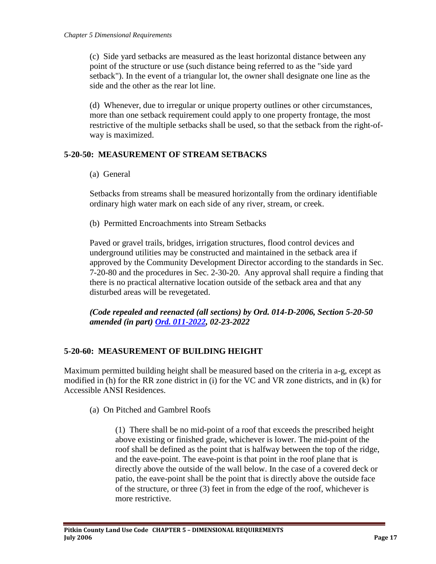(c) Side yard setbacks are measured as the least horizontal distance between any point of the structure or use (such distance being referred to as the "side yard setback"). In the event of a triangular lot, the owner shall designate one line as the side and the other as the rear lot line.

(d) Whenever, due to irregular or unique property outlines or other circumstances, more than one setback requirement could apply to one property frontage, the most restrictive of the multiple setbacks shall be used, so that the setback from the right-ofway is maximized.

### <span id="page-16-0"></span>**5-20-50: MEASUREMENT OF STREAM SETBACKS**

(a) General

Setbacks from streams shall be measured horizontally from the ordinary identifiable ordinary high water mark on each side of any river, stream, or creek.

(b) Permitted Encroachments into Stream Setbacks

Paved or gravel trails, bridges, irrigation structures, flood control devices and underground utilities may be constructed and maintained in the setback area if approved by the Community Development Director according to the standards in Sec. 7-20-80 and the procedures in Sec. 2-30-20. Any approval shall require a finding that there is no practical alternative location outside of the setback area and that any disturbed areas will be revegetated.

*(Code repealed and reenacted (all sections) by Ord. 014-D-2006, Section 5-20-50 amended (in part) [Ord. 011-2022,](https://pitkincounty.com/DocumentCenter/View/28808/boccord0112022-recorded) 02-23-2022*

### <span id="page-16-1"></span>**5-20-60: MEASUREMENT OF BUILDING HEIGHT**

Maximum permitted building height shall be measured based on the criteria in a-g, except as modified in (h) for the RR zone district in (i) for the VC and VR zone districts, and in (k) for Accessible ANSI Residences.

(a) On Pitched and Gambrel Roofs

(1) There shall be no mid-point of a roof that exceeds the prescribed height above existing or finished grade, whichever is lower. The mid-point of the roof shall be defined as the point that is halfway between the top of the ridge, and the eave-point. The eave-point is that point in the roof plane that is directly above the outside of the wall below. In the case of a covered deck or patio, the eave-point shall be the point that is directly above the outside face of the structure, or three (3) feet in from the edge of the roof, whichever is more restrictive.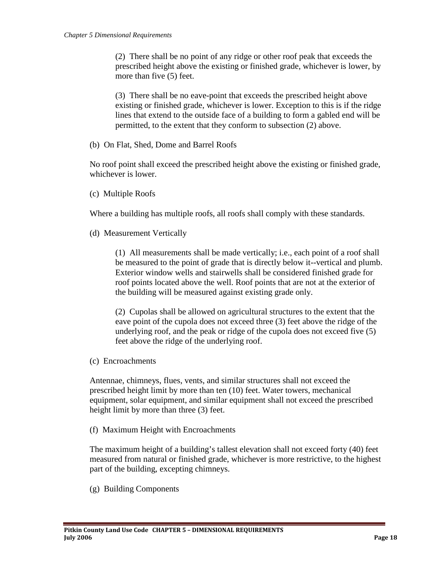(2) There shall be no point of any ridge or other roof peak that exceeds the prescribed height above the existing or finished grade, whichever is lower, by more than five (5) feet.

(3) There shall be no eave-point that exceeds the prescribed height above existing or finished grade, whichever is lower. Exception to this is if the ridge lines that extend to the outside face of a building to form a gabled end will be permitted, to the extent that they conform to subsection (2) above.

(b) On Flat, Shed, Dome and Barrel Roofs

No roof point shall exceed the prescribed height above the existing or finished grade, whichever is lower.

(c) Multiple Roofs

Where a building has multiple roofs, all roofs shall comply with these standards.

(d) Measurement Vertically

(1) All measurements shall be made vertically; i.e., each point of a roof shall be measured to the point of grade that is directly below it--vertical and plumb. Exterior window wells and stairwells shall be considered finished grade for roof points located above the well. Roof points that are not at the exterior of the building will be measured against existing grade only.

(2) Cupolas shall be allowed on agricultural structures to the extent that the eave point of the cupola does not exceed three (3) feet above the ridge of the underlying roof, and the peak or ridge of the cupola does not exceed five (5) feet above the ridge of the underlying roof.

(c) Encroachments

Antennae, chimneys, flues, vents, and similar structures shall not exceed the prescribed height limit by more than ten (10) feet. Water towers, mechanical equipment, solar equipment, and similar equipment shall not exceed the prescribed height limit by more than three (3) feet.

(f) Maximum Height with Encroachments

The maximum height of a building's tallest elevation shall not exceed forty (40) feet measured from natural or finished grade, whichever is more restrictive, to the highest part of the building, excepting chimneys.

(g) Building Components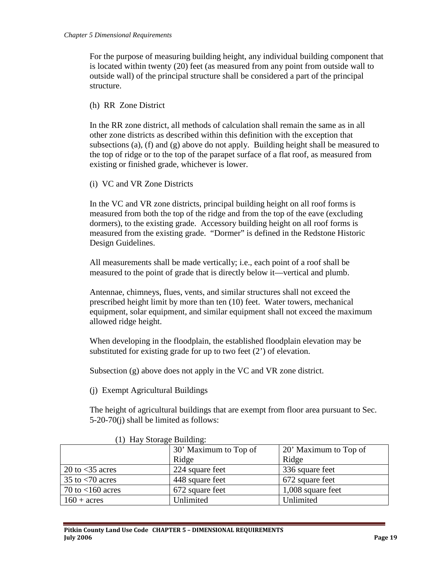For the purpose of measuring building height, any individual building component that is located within twenty (20) feet (as measured from any point from outside wall to outside wall) of the principal structure shall be considered a part of the principal structure.

(h) RR Zone District

In the RR zone district, all methods of calculation shall remain the same as in all other zone districts as described within this definition with the exception that subsections (a), (f) and (g) above do not apply. Building height shall be measured to the top of ridge or to the top of the parapet surface of a flat roof, as measured from existing or finished grade, whichever is lower.

(i) VC and VR Zone Districts

In the VC and VR zone districts, principal building height on all roof forms is measured from both the top of the ridge and from the top of the eave (excluding dormers), to the existing grade. Accessory building height on all roof forms is measured from the existing grade. "Dormer" is defined in the Redstone Historic Design Guidelines.

All measurements shall be made vertically; i.e., each point of a roof shall be measured to the point of grade that is directly below it—vertical and plumb.

Antennae, chimneys, flues, vents, and similar structures shall not exceed the prescribed height limit by more than ten (10) feet. Water towers, mechanical equipment, solar equipment, and similar equipment shall not exceed the maximum allowed ridge height.

When developing in the floodplain, the established floodplain elevation may be substituted for existing grade for up to two feet (2') of elevation.

Subsection (g) above does not apply in the VC and VR zone district.

(j) Exempt Agricultural Buildings

The height of agricultural buildings that are exempt from floor area pursuant to Sec. 5-20-70(j) shall be limited as follows:

| $(2)$ = $-1$ , $20$ = $-1$ , $-1$        |                       |                       |  |  |
|------------------------------------------|-----------------------|-----------------------|--|--|
|                                          | 30' Maximum to Top of | 20' Maximum to Top of |  |  |
|                                          | Ridge                 | Ridge                 |  |  |
| 20 to $<$ 35 acres                       | 224 square feet       | 336 square feet       |  |  |
| 35 to $\langle 70 \text{ acres} \rangle$ | 448 square feet       | 672 square feet       |  |  |
| 70 to $<$ 160 acres                      | 672 square feet       | 1,008 square feet     |  |  |
| $160 + \text{acres}$                     | Unlimited             | Unlimited             |  |  |

#### (1) Hay Storage Building: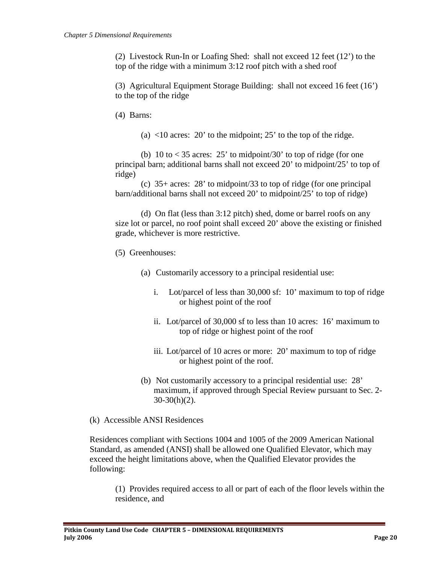(2) Livestock Run-In or Loafing Shed: shall not exceed 12 feet (12') to the top of the ridge with a minimum 3:12 roof pitch with a shed roof

(3) Agricultural Equipment Storage Building: shall not exceed 16 feet (16') to the top of the ridge

(4) Barns:

(a)  $\langle 10 \rangle$  acres: 20' to the midpoint; 25' to the top of the ridge.

(b) 10 to  $\lt 35$  acres: 25' to midpoint/30' to top of ridge (for one principal barn; additional barns shall not exceed 20' to midpoint/25' to top of ridge)

(c) 35+ acres: 28' to midpoint/33 to top of ridge (for one principal barn/additional barns shall not exceed 20' to midpoint/25' to top of ridge)

(d) On flat (less than 3:12 pitch) shed, dome or barrel roofs on any size lot or parcel, no roof point shall exceed 20' above the existing or finished grade, whichever is more restrictive.

(5) Greenhouses:

- (a) Customarily accessory to a principal residential use:
	- i. Lot/parcel of less than 30,000 sf: 10' maximum to top of ridge or highest point of the roof
	- ii. Lot/parcel of 30,000 sf to less than 10 acres: 16' maximum to top of ridge or highest point of the roof
	- iii. Lot/parcel of 10 acres or more: 20' maximum to top of ridge or highest point of the roof.
- (b) Not customarily accessory to a principal residential use: 28' maximum, if approved through Special Review pursuant to Sec. 2-  $30-30(h)(2)$ .

(k) Accessible ANSI Residences

Residences compliant with Sections 1004 and 1005 of the 2009 American National Standard, as amended (ANSI) shall be allowed one Qualified Elevator, which may exceed the height limitations above, when the Qualified Elevator provides the following:

(1) Provides required access to all or part of each of the floor levels within the residence, and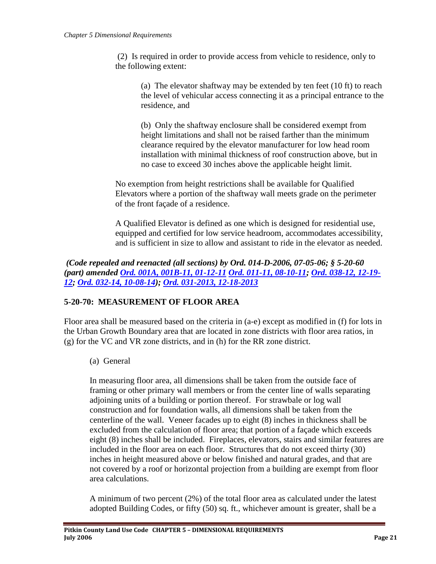(2) Is required in order to provide access from vehicle to residence, only to the following extent:

(a) The elevator shaftway may be extended by ten feet (10 ft) to reach the level of vehicular access connecting it as a principal entrance to the residence, and

(b) Only the shaftway enclosure shall be considered exempt from height limitations and shall not be raised farther than the minimum clearance required by the elevator manufacturer for low head room installation with minimal thickness of roof construction above, but in no case to exceed 30 inches above the applicable height limit.

No exemption from height restrictions shall be available for Qualified Elevators where a portion of the shaftway wall meets grade on the perimeter of the front façade of a residence.

A Qualified Elevator is defined as one which is designed for residential use, equipped and certified for low service headroom, accommodates accessibility, and is sufficient in size to allow and assistant to ride in the elevator as needed.

### *(Code repealed and reenacted (all sections) by Ord. 014-D-2006, 07-05-06; § 5-20-60 (part) amended [Ord. 001A, 001B-11, 01-12-11](http://pitkincounty.com/DocumentCenter/View/8269) [Ord. 011-11, 08-10-11;](http://pitkincounty.com/DocumentCenter/View/8292) [Ord. 038-12, 12-19-](http://pitkincounty.com/DocumentCenter/View/8272) [12;](http://pitkincounty.com/DocumentCenter/View/8272) [Ord. 032-14, 10-08-14\)](http://pitkincounty.com/DocumentCenter/View/12804); [Ord. 031-2013, 12-18-2013](http://pitkincounty.com/DocumentCenter/View/8280)*

## <span id="page-20-0"></span>**5-20-70: MEASUREMENT OF FLOOR AREA**

Floor area shall be measured based on the criteria in (a-e) except as modified in (f) for lots in the Urban Growth Boundary area that are located in zone districts with floor area ratios, in (g) for the VC and VR zone districts, and in (h) for the RR zone district.

(a) General

In measuring floor area, all dimensions shall be taken from the outside face of framing or other primary wall members or from the center line of walls separating adjoining units of a building or portion thereof. For strawbale or log wall construction and for foundation walls, all dimensions shall be taken from the centerline of the wall. Veneer facades up to eight (8) inches in thickness shall be excluded from the calculation of floor area; that portion of a façade which exceeds eight (8) inches shall be included. Fireplaces, elevators, stairs and similar features are included in the floor area on each floor. Structures that do not exceed thirty (30) inches in height measured above or below finished and natural grades, and that are not covered by a roof or horizontal projection from a building are exempt from floor area calculations.

A minimum of two percent (2%) of the total floor area as calculated under the latest adopted Building Codes, or fifty (50) sq. ft., whichever amount is greater, shall be a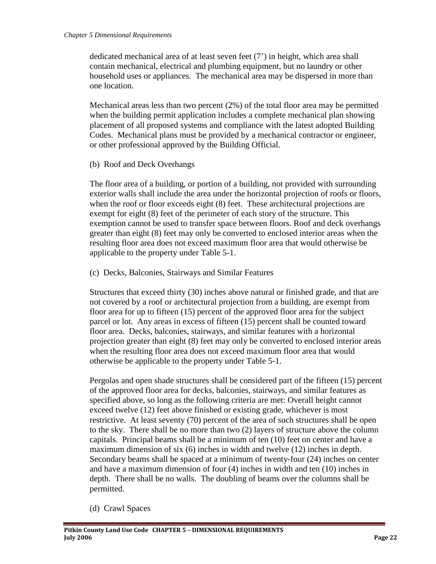dedicated mechanical area of at least seven feet (7') in height, which area shall contain mechanical, electrical and plumbing equipment, but no laundry or other household uses or appliances. The mechanical area may be dispersed in more than one location.

Mechanical areas less than two percent (2%) of the total floor area may be permitted when the building permit application includes a complete mechanical plan showing placement of all proposed systems and compliance with the latest adopted Building Codes. Mechanical plans must be provided by a mechanical contractor or engineer, or other professional approved by the Building Official.

(b) Roof and Deck Overhangs

The floor area of a building, or portion of a building, not provided with surrounding exterior walls shall include the area under the horizontal projection of roofs or floors, when the roof or floor exceeds eight (8) feet. These architectural projections are exempt for eight (8) feet of the perimeter of each story of the structure. This exemption cannot be used to transfer space between floors. Roof and deck overhangs greater than eight (8) feet may only be converted to enclosed interior areas when the resulting floor area does not exceed maximum floor area that would otherwise be applicable to the property under Table 5-1.

(c) Decks, Balconies, Stairways and Similar Features

Structures that exceed thirty (30) inches above natural or finished grade, and that are not covered by a roof or architectural projection from a building, are exempt from floor area for up to fifteen (15) percent of the approved floor area for the subject parcel or lot. Any areas in excess of fifteen (15) percent shall be counted toward floor area. Decks, balconies, stairways, and similar features with a horizontal projection greater than eight (8) feet may only be converted to enclosed interior areas when the resulting floor area does not exceed maximum floor area that would otherwise be applicable to the property under Table 5-1.

Pergolas and open shade structures shall be considered part of the fifteen (15) percent of the approved floor area for decks, balconies, stairways, and similar features as specified above, so long as the following criteria are met: Overall height cannot exceed twelve (12) feet above finished or existing grade, whichever is most restrictive. At least seventy (70) percent of the area of such structures shall be open to the sky. There shall be no more than two (2) layers of structure above the column capitals. Principal beams shall be a minimum of ten (10) feet on center and have a maximum dimension of six (6) inches in width and twelve (12) inches in depth. Secondary beams shall be spaced at a minimum of twenty-four (24) inches on center and have a maximum dimension of four (4) inches in width and ten (10) inches in depth. There shall be no walls. The doubling of beams over the columns shall be permitted.

(d) Crawl Spaces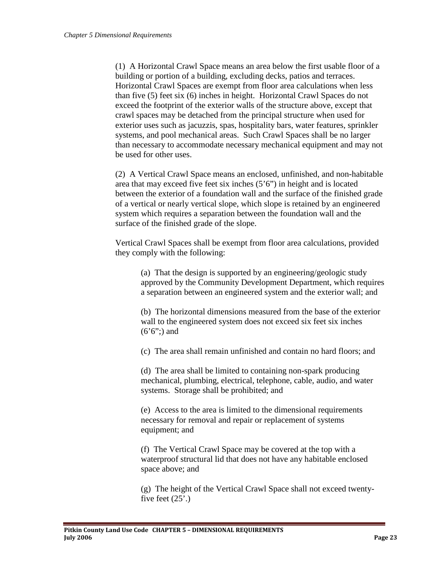(1) A Horizontal Crawl Space means an area below the first usable floor of a building or portion of a building, excluding decks, patios and terraces. Horizontal Crawl Spaces are exempt from floor area calculations when less than five (5) feet six (6) inches in height. Horizontal Crawl Spaces do not exceed the footprint of the exterior walls of the structure above, except that crawl spaces may be detached from the principal structure when used for exterior uses such as jacuzzis, spas, hospitality bars, water features, sprinkler systems, and pool mechanical areas. Such Crawl Spaces shall be no larger than necessary to accommodate necessary mechanical equipment and may not be used for other uses.

(2) A Vertical Crawl Space means an enclosed, unfinished, and non-habitable area that may exceed five feet six inches (5'6") in height and is located between the exterior of a foundation wall and the surface of the finished grade of a vertical or nearly vertical slope, which slope is retained by an engineered system which requires a separation between the foundation wall and the surface of the finished grade of the slope.

Vertical Crawl Spaces shall be exempt from floor area calculations, provided they comply with the following:

(a) That the design is supported by an engineering/geologic study approved by the Community Development Department, which requires a separation between an engineered system and the exterior wall; and

(b) The horizontal dimensions measured from the base of the exterior wall to the engineered system does not exceed six feet six inches  $(6'6'')$  and

(c) The area shall remain unfinished and contain no hard floors; and

(d) The area shall be limited to containing non-spark producing mechanical, plumbing, electrical, telephone, cable, audio, and water systems. Storage shall be prohibited; and

(e) Access to the area is limited to the dimensional requirements necessary for removal and repair or replacement of systems equipment; and

(f) The Vertical Crawl Space may be covered at the top with a waterproof structural lid that does not have any habitable enclosed space above; and

(g) The height of the Vertical Crawl Space shall not exceed twentyfive feet  $(25')$ .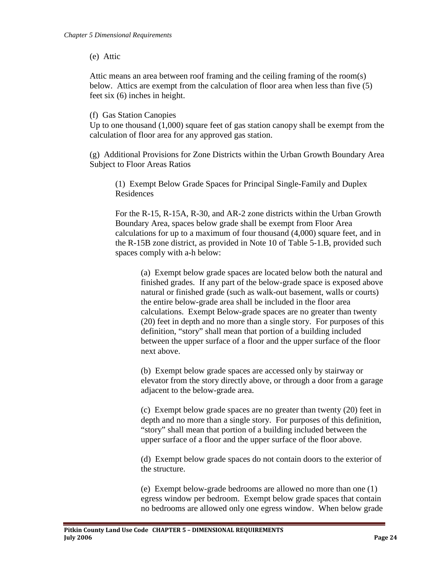(e) Attic

Attic means an area between roof framing and the ceiling framing of the room(s) below. Attics are exempt from the calculation of floor area when less than five (5) feet six (6) inches in height.

(f) Gas Station Canopies

Up to one thousand  $(1,000)$  square feet of gas station canopy shall be exempt from the calculation of floor area for any approved gas station.

(g) Additional Provisions for Zone Districts within the Urban Growth Boundary Area Subject to Floor Areas Ratios

(1) Exempt Below Grade Spaces for Principal Single-Family and Duplex Residences

For the R-15, R-15A, R-30, and AR-2 zone districts within the Urban Growth Boundary Area, spaces below grade shall be exempt from Floor Area calculations for up to a maximum of four thousand (4,000) square feet, and in the R-15B zone district, as provided in Note 10 of Table 5-1.B, provided such spaces comply with a-h below:

(a) Exempt below grade spaces are located below both the natural and finished grades. If any part of the below-grade space is exposed above natural or finished grade (such as walk-out basement, walls or courts) the entire below-grade area shall be included in the floor area calculations. Exempt Below-grade spaces are no greater than twenty (20) feet in depth and no more than a single story. For purposes of this definition, "story" shall mean that portion of a building included between the upper surface of a floor and the upper surface of the floor next above.

(b) Exempt below grade spaces are accessed only by stairway or elevator from the story directly above, or through a door from a garage adjacent to the below-grade area.

(c) Exempt below grade spaces are no greater than twenty (20) feet in depth and no more than a single story. For purposes of this definition, "story" shall mean that portion of a building included between the upper surface of a floor and the upper surface of the floor above.

(d) Exempt below grade spaces do not contain doors to the exterior of the structure.

(e) Exempt below-grade bedrooms are allowed no more than one (1) egress window per bedroom. Exempt below grade spaces that contain no bedrooms are allowed only one egress window. When below grade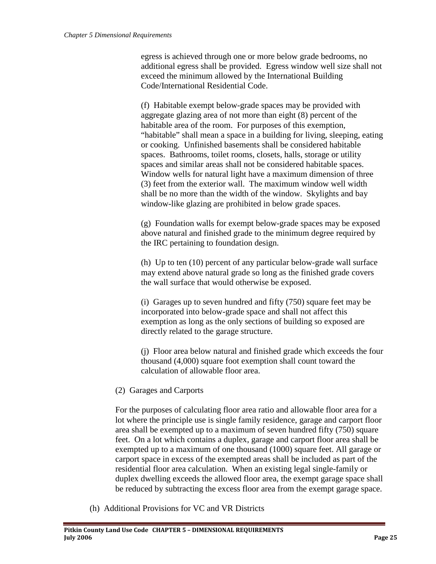egress is achieved through one or more below grade bedrooms, no additional egress shall be provided. Egress window well size shall not exceed the minimum allowed by the International Building Code/International Residential Code.

(f) Habitable exempt below-grade spaces may be provided with aggregate glazing area of not more than eight (8) percent of the habitable area of the room. For purposes of this exemption, "habitable" shall mean a space in a building for living, sleeping, eating or cooking. Unfinished basements shall be considered habitable spaces. Bathrooms, toilet rooms, closets, halls, storage or utility spaces and similar areas shall not be considered habitable spaces. Window wells for natural light have a maximum dimension of three (3) feet from the exterior wall. The maximum window well width shall be no more than the width of the window. Skylights and bay window-like glazing are prohibited in below grade spaces.

(g) Foundation walls for exempt below-grade spaces may be exposed above natural and finished grade to the minimum degree required by the IRC pertaining to foundation design.

(h) Up to ten (10) percent of any particular below-grade wall surface may extend above natural grade so long as the finished grade covers the wall surface that would otherwise be exposed.

(i) Garages up to seven hundred and fifty (750) square feet may be incorporated into below-grade space and shall not affect this exemption as long as the only sections of building so exposed are directly related to the garage structure.

(j) Floor area below natural and finished grade which exceeds the four thousand (4,000) square foot exemption shall count toward the calculation of allowable floor area.

(2) Garages and Carports

For the purposes of calculating floor area ratio and allowable floor area for a lot where the principle use is single family residence, garage and carport floor area shall be exempted up to a maximum of seven hundred fifty (750) square feet. On a lot which contains a duplex, garage and carport floor area shall be exempted up to a maximum of one thousand (1000) square feet. All garage or carport space in excess of the exempted areas shall be included as part of the residential floor area calculation. When an existing legal single-family or duplex dwelling exceeds the allowed floor area, the exempt garage space shall be reduced by subtracting the excess floor area from the exempt garage space.

(h) Additional Provisions for VC and VR Districts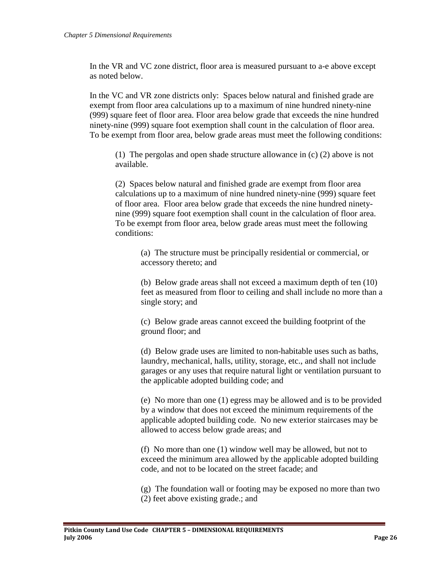In the VR and VC zone district, floor area is measured pursuant to a-e above except as noted below.

In the VC and VR zone districts only: Spaces below natural and finished grade are exempt from floor area calculations up to a maximum of nine hundred ninety-nine (999) square feet of floor area. Floor area below grade that exceeds the nine hundred ninety-nine (999) square foot exemption shall count in the calculation of floor area. To be exempt from floor area, below grade areas must meet the following conditions:

(1) The pergolas and open shade structure allowance in (c) (2) above is not available.

(2) Spaces below natural and finished grade are exempt from floor area calculations up to a maximum of nine hundred ninety-nine (999) square feet of floor area. Floor area below grade that exceeds the nine hundred ninetynine (999) square foot exemption shall count in the calculation of floor area. To be exempt from floor area, below grade areas must meet the following conditions:

(a) The structure must be principally residential or commercial, or accessory thereto; and

(b) Below grade areas shall not exceed a maximum depth of ten (10) feet as measured from floor to ceiling and shall include no more than a single story; and

(c) Below grade areas cannot exceed the building footprint of the ground floor; and

(d) Below grade uses are limited to non-habitable uses such as baths, laundry, mechanical, halls, utility, storage, etc., and shall not include garages or any uses that require natural light or ventilation pursuant to the applicable adopted building code; and

(e) No more than one (1) egress may be allowed and is to be provided by a window that does not exceed the minimum requirements of the applicable adopted building code. No new exterior staircases may be allowed to access below grade areas; and

(f) No more than one (1) window well may be allowed, but not to exceed the minimum area allowed by the applicable adopted building code, and not to be located on the street facade; and

(g) The foundation wall or footing may be exposed no more than two (2) feet above existing grade.; and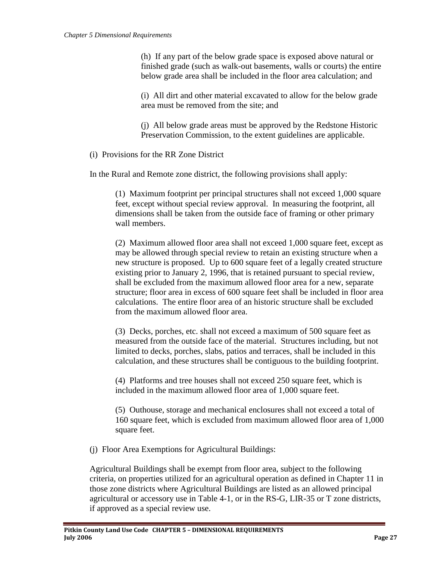(h) If any part of the below grade space is exposed above natural or finished grade (such as walk-out basements, walls or courts) the entire below grade area shall be included in the floor area calculation; and

(i) All dirt and other material excavated to allow for the below grade area must be removed from the site; and

(j) All below grade areas must be approved by the Redstone Historic Preservation Commission, to the extent guidelines are applicable.

(i) Provisions for the RR Zone District

In the Rural and Remote zone district, the following provisions shall apply:

(1) Maximum footprint per principal structures shall not exceed 1,000 square feet, except without special review approval. In measuring the footprint, all dimensions shall be taken from the outside face of framing or other primary wall members.

(2) Maximum allowed floor area shall not exceed 1,000 square feet, except as may be allowed through special review to retain an existing structure when a new structure is proposed. Up to 600 square feet of a legally created structure existing prior to January 2, 1996, that is retained pursuant to special review, shall be excluded from the maximum allowed floor area for a new, separate structure; floor area in excess of 600 square feet shall be included in floor area calculations. The entire floor area of an historic structure shall be excluded from the maximum allowed floor area.

(3) Decks, porches, etc. shall not exceed a maximum of 500 square feet as measured from the outside face of the material. Structures including, but not limited to decks, porches, slabs, patios and terraces, shall be included in this calculation, and these structures shall be contiguous to the building footprint.

(4) Platforms and tree houses shall not exceed 250 square feet, which is included in the maximum allowed floor area of 1,000 square feet.

(5) Outhouse, storage and mechanical enclosures shall not exceed a total of 160 square feet, which is excluded from maximum allowed floor area of 1,000 square feet.

(j) Floor Area Exemptions for Agricultural Buildings:

Agricultural Buildings shall be exempt from floor area, subject to the following criteria, on properties utilized for an agricultural operation as defined in Chapter 11 in those zone districts where Agricultural Buildings are listed as an allowed principal agricultural or accessory use in Table 4-1, or in the RS-G, LIR-35 or T zone districts, if approved as a special review use.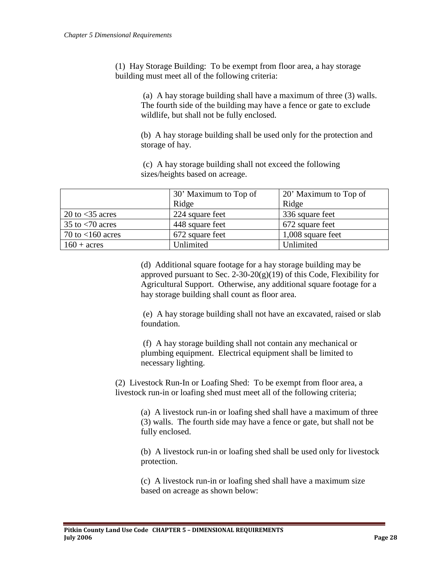(1) Hay Storage Building: To be exempt from floor area, a hay storage building must meet all of the following criteria:

> (a) A hay storage building shall have a maximum of three (3) walls. The fourth side of the building may have a fence or gate to exclude wildlife, but shall not be fully enclosed.

(b) A hay storage building shall be used only for the protection and storage of hay.

(c) A hay storage building shall not exceed the following sizes/heights based on acreage.

|                                  | 30' Maximum to Top of | 20' Maximum to Top of |  |  |
|----------------------------------|-----------------------|-----------------------|--|--|
|                                  | Ridge                 | Ridge                 |  |  |
| 20 to $<$ 35 acres               | 224 square feet       | 336 square feet       |  |  |
| 35 to $\langle 70 \text{ acres}$ | 448 square feet       | 672 square feet       |  |  |
| 70 to $<$ 160 acres              | 672 square feet       | 1,008 square feet     |  |  |
| $160 + \text{acres}$             | Unlimited             | Unlimited             |  |  |

(d) Additional square footage for a hay storage building may be approved pursuant to Sec. 2-30-20 $(g)(19)$  of this Code, Flexibility for Agricultural Support. Otherwise, any additional square footage for a hay storage building shall count as floor area.

(e) A hay storage building shall not have an excavated, raised or slab foundation.

(f) A hay storage building shall not contain any mechanical or plumbing equipment. Electrical equipment shall be limited to necessary lighting.

(2) Livestock Run-In or Loafing Shed: To be exempt from floor area, a livestock run-in or loafing shed must meet all of the following criteria;

> (a) A livestock run-in or loafing shed shall have a maximum of three (3) walls. The fourth side may have a fence or gate, but shall not be fully enclosed.

> (b) A livestock run-in or loafing shed shall be used only for livestock protection.

(c) A livestock run-in or loafing shed shall have a maximum size based on acreage as shown below: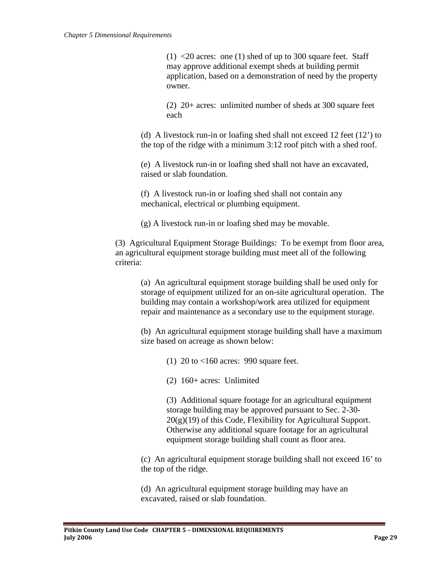$(1)$  <20 acres: one (1) shed of up to 300 square feet. Staff may approve additional exempt sheds at building permit application, based on a demonstration of need by the property owner.

(2) 20+ acres: unlimited number of sheds at 300 square feet each

(d) A livestock run-in or loafing shed shall not exceed 12 feet (12') to the top of the ridge with a minimum 3:12 roof pitch with a shed roof.

(e) A livestock run-in or loafing shed shall not have an excavated, raised or slab foundation.

(f) A livestock run-in or loafing shed shall not contain any mechanical, electrical or plumbing equipment.

(g) A livestock run-in or loafing shed may be movable.

(3) Agricultural Equipment Storage Buildings: To be exempt from floor area, an agricultural equipment storage building must meet all of the following criteria:

(a) An agricultural equipment storage building shall be used only for storage of equipment utilized for an on-site agricultural operation. The building may contain a workshop/work area utilized for equipment repair and maintenance as a secondary use to the equipment storage.

(b) An agricultural equipment storage building shall have a maximum size based on acreage as shown below:

(1) 20 to <160 acres: 990 square feet.

(2) 160+ acres: Unlimited

(3) Additional square footage for an agricultural equipment storage building may be approved pursuant to Sec. 2-30-  $20(g)(19)$  of this Code, Flexibility for Agricultural Support. Otherwise any additional square footage for an agricultural equipment storage building shall count as floor area.

(c) An agricultural equipment storage building shall not exceed 16' to the top of the ridge.

(d) An agricultural equipment storage building may have an excavated, raised or slab foundation.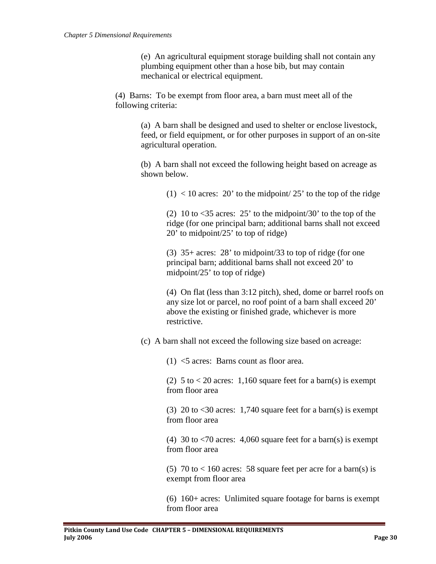(e) An agricultural equipment storage building shall not contain any plumbing equipment other than a hose bib, but may contain mechanical or electrical equipment.

(4) Barns: To be exempt from floor area, a barn must meet all of the following criteria:

> (a) A barn shall be designed and used to shelter or enclose livestock, feed, or field equipment, or for other purposes in support of an on-site agricultural operation.

(b) A barn shall not exceed the following height based on acreage as shown below.

 $(1)$  < 10 acres: 20' to the midpoint/25' to the top of the ridge

(2) 10 to  $\lt35$  acres: 25' to the midpoint/30' to the top of the ridge (for one principal barn; additional barns shall not exceed 20' to midpoint/25' to top of ridge)

(3) 35+ acres: 28' to midpoint/33 to top of ridge (for one principal barn; additional barns shall not exceed 20' to midpoint/25' to top of ridge)

(4) On flat (less than 3:12 pitch), shed, dome or barrel roofs on any size lot or parcel, no roof point of a barn shall exceed 20' above the existing or finished grade, whichever is more restrictive.

(c) A barn shall not exceed the following size based on acreage:

(1) <5 acres: Barns count as floor area.

(2)  $5$  to  $< 20$  acres: 1,160 square feet for a barn(s) is exempt from floor area

(3) 20 to  $\leq$ 30 acres: 1,740 square feet for a barn(s) is exempt from floor area

(4) 30 to  $\langle 70 \text{ acres: } 4,060 \text{ square feet for a barn(s)}$  is exempt from floor area

(5) 70 to  $< 160$  acres: 58 square feet per acre for a barn(s) is exempt from floor area

(6) 160+ acres: Unlimited square footage for barns is exempt from floor area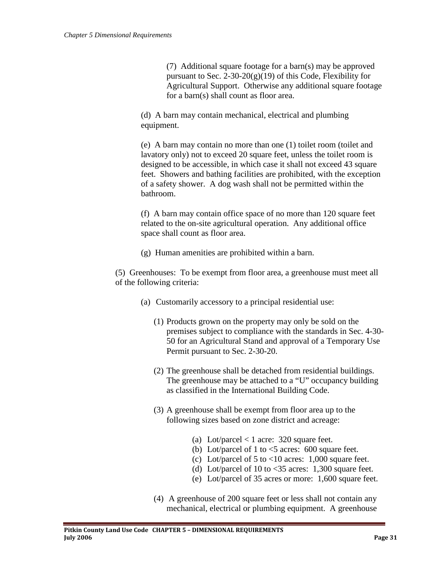(7) Additional square footage for a barn(s) may be approved pursuant to Sec. 2-30-20 $(g)(19)$  of this Code, Flexibility for Agricultural Support. Otherwise any additional square footage for a barn(s) shall count as floor area.

(d) A barn may contain mechanical, electrical and plumbing equipment.

(e) A barn may contain no more than one (1) toilet room (toilet and lavatory only) not to exceed 20 square feet, unless the toilet room is designed to be accessible, in which case it shall not exceed 43 square feet. Showers and bathing facilities are prohibited, with the exception of a safety shower. A dog wash shall not be permitted within the bathroom.

(f) A barn may contain office space of no more than 120 square feet related to the on-site agricultural operation. Any additional office space shall count as floor area.

(g) Human amenities are prohibited within a barn.

(5) Greenhouses: To be exempt from floor area, a greenhouse must meet all of the following criteria:

- (a) Customarily accessory to a principal residential use:
	- (1) Products grown on the property may only be sold on the premises subject to compliance with the standards in Sec. 4-30- 50 for an Agricultural Stand and approval of a Temporary Use Permit pursuant to Sec. 2-30-20.
	- (2) The greenhouse shall be detached from residential buildings. The greenhouse may be attached to a "U" occupancy building as classified in the International Building Code.
	- (3) A greenhouse shall be exempt from floor area up to the following sizes based on zone district and acreage:
		- (a) Lot/parcel  $<$  1 acre: 320 square feet.
		- (b) Lot/parcel of 1 to  $\lt$ 5 acres: 600 square feet.
		- (c) Lot/parcel of 5 to  $< 10$  acres: 1,000 square feet.
		- (d) Lot/parcel of 10 to  $\langle 35 \rangle$  acres: 1,300 square feet.
		- (e) Lot/parcel of 35 acres or more: 1,600 square feet.
	- (4) A greenhouse of 200 square feet or less shall not contain any mechanical, electrical or plumbing equipment. A greenhouse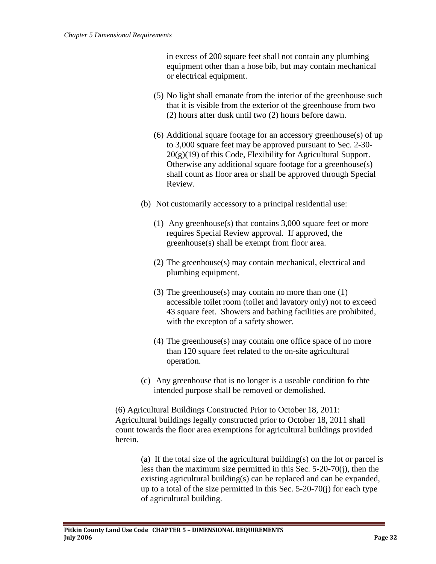in excess of 200 square feet shall not contain any plumbing equipment other than a hose bib, but may contain mechanical or electrical equipment.

- (5) No light shall emanate from the interior of the greenhouse such that it is visible from the exterior of the greenhouse from two (2) hours after dusk until two (2) hours before dawn.
- (6) Additional square footage for an accessory greenhouse(s) of up to 3,000 square feet may be approved pursuant to Sec. 2-30-  $20(g)(19)$  of this Code, Flexibility for Agricultural Support. Otherwise any additional square footage for a greenhouse(s) shall count as floor area or shall be approved through Special Review.
- (b) Not customarily accessory to a principal residential use:
	- (1) Any greenhouse(s) that contains 3,000 square feet or more requires Special Review approval. If approved, the greenhouse(s) shall be exempt from floor area.
	- (2) The greenhouse(s) may contain mechanical, electrical and plumbing equipment.
	- (3) The greenhouse(s) may contain no more than one (1) accessible toilet room (toilet and lavatory only) not to exceed 43 square feet. Showers and bathing facilities are prohibited, with the excepton of a safety shower.
	- (4) The greenhouse(s) may contain one office space of no more than 120 square feet related to the on-site agricultural operation.
- (c) Any greenhouse that is no longer is a useable condition fo rhte intended purpose shall be removed or demolished.

(6) Agricultural Buildings Constructed Prior to October 18, 2011: Agricultural buildings legally constructed prior to October 18, 2011 shall count towards the floor area exemptions for agricultural buildings provided herein.

(a) If the total size of the agricultural building(s) on the lot or parcel is less than the maximum size permitted in this Sec. 5-20-70(j), then the existing agricultural building(s) can be replaced and can be expanded, up to a total of the size permitted in this Sec. 5-20-70(j) for each type of agricultural building.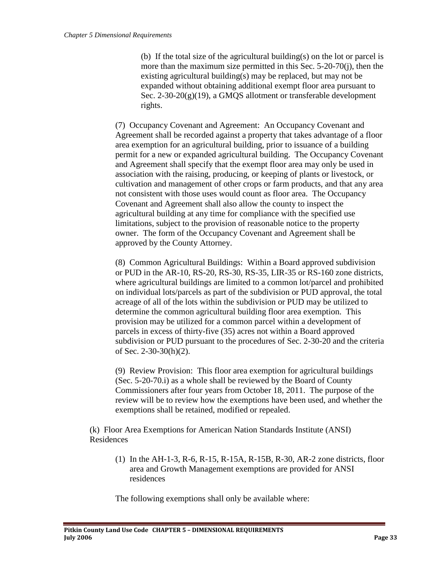(b) If the total size of the agricultural building(s) on the lot or parcel is more than the maximum size permitted in this Sec. 5-20-70(j), then the existing agricultural building(s) may be replaced, but may not be expanded without obtaining additional exempt floor area pursuant to Sec. 2-30-20(g)(19), a GMQS allotment or transferable development rights.

(7) Occupancy Covenant and Agreement: An Occupancy Covenant and Agreement shall be recorded against a property that takes advantage of a floor area exemption for an agricultural building, prior to issuance of a building permit for a new or expanded agricultural building. The Occupancy Covenant and Agreement shall specify that the exempt floor area may only be used in association with the raising, producing, or keeping of plants or livestock, or cultivation and management of other crops or farm products, and that any area not consistent with those uses would count as floor area. The Occupancy Covenant and Agreement shall also allow the county to inspect the agricultural building at any time for compliance with the specified use limitations, subject to the provision of reasonable notice to the property owner. The form of the Occupancy Covenant and Agreement shall be approved by the County Attorney.

(8) Common Agricultural Buildings: Within a Board approved subdivision or PUD in the AR-10, RS-20, RS-30, RS-35, LIR-35 or RS-160 zone districts, where agricultural buildings are limited to a common lot/parcel and prohibited on individual lots/parcels as part of the subdivision or PUD approval, the total acreage of all of the lots within the subdivision or PUD may be utilized to determine the common agricultural building floor area exemption. This provision may be utilized for a common parcel within a development of parcels in excess of thirty-five (35) acres not within a Board approved subdivision or PUD pursuant to the procedures of Sec. 2-30-20 and the criteria of Sec. 2-30-30(h)(2).

(9) Review Provision: This floor area exemption for agricultural buildings (Sec. 5-20-70.i) as a whole shall be reviewed by the Board of County Commissioners after four years from October 18, 2011. The purpose of the review will be to review how the exemptions have been used, and whether the exemptions shall be retained, modified or repealed.

(k) Floor Area Exemptions for American Nation Standards Institute (ANSI) Residences

(1) In the AH-1-3, R-6, R-15, R-15A, R-15B, R-30, AR-2 zone districts, floor area and Growth Management exemptions are provided for ANSI residences

The following exemptions shall only be available where: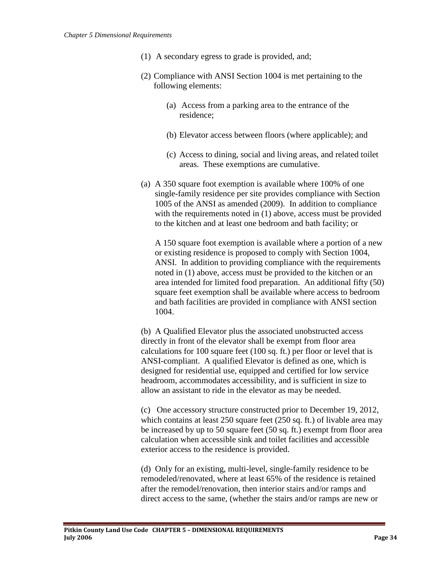- (1) A secondary egress to grade is provided, and;
- (2) Compliance with ANSI Section 1004 is met pertaining to the following elements:
	- (a) Access from a parking area to the entrance of the residence;
	- (b) Elevator access between floors (where applicable); and
	- (c) Access to dining, social and living areas, and related toilet areas. These exemptions are cumulative.
- (a) A 350 square foot exemption is available where 100% of one single-family residence per site provides compliance with Section 1005 of the ANSI as amended (2009). In addition to compliance with the requirements noted in (1) above, access must be provided to the kitchen and at least one bedroom and bath facility; or

A 150 square foot exemption is available where a portion of a new or existing residence is proposed to comply with Section 1004, ANSI. In addition to providing compliance with the requirements noted in (1) above, access must be provided to the kitchen or an area intended for limited food preparation. An additional fifty (50) square feet exemption shall be available where access to bedroom and bath facilities are provided in compliance with ANSI section 1004.

(b) A Qualified Elevator plus the associated unobstructed access directly in front of the elevator shall be exempt from floor area calculations for 100 square feet (100 sq. ft.) per floor or level that is ANSI-compliant. A qualified Elevator is defined as one, which is designed for residential use, equipped and certified for low service headroom, accommodates accessibility, and is sufficient in size to allow an assistant to ride in the elevator as may be needed.

(c) One accessory structure constructed prior to December 19, 2012, which contains at least 250 square feet (250 sq. ft.) of livable area may be increased by up to 50 square feet (50 sq. ft.) exempt from floor area calculation when accessible sink and toilet facilities and accessible exterior access to the residence is provided.

(d) Only for an existing, multi-level, single-family residence to be remodeled/renovated, where at least 65% of the residence is retained after the remodel/renovation, then interior stairs and/or ramps and direct access to the same, (whether the stairs and/or ramps are new or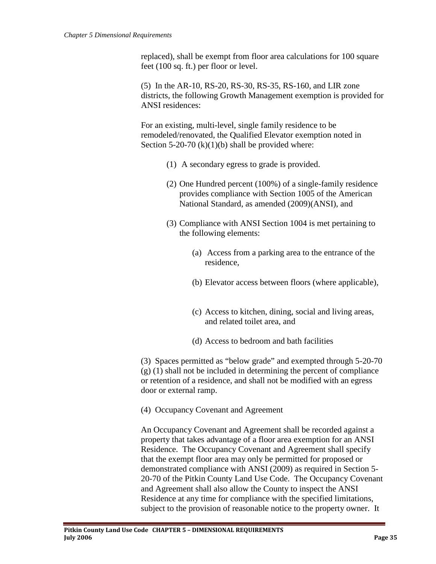replaced), shall be exempt from floor area calculations for 100 square feet (100 sq. ft.) per floor or level.

(5) In the AR-10, RS-20, RS-30, RS-35, RS-160, and LIR zone districts, the following Growth Management exemption is provided for ANSI residences:

For an existing, multi-level, single family residence to be remodeled/renovated, the Qualified Elevator exemption noted in Section 5-20-70  $(k)(1)(b)$  shall be provided where:

- (1) A secondary egress to grade is provided.
- (2) One Hundred percent (100%) of a single-family residence provides compliance with Section 1005 of the American National Standard, as amended (2009)(ANSI), and
- (3) Compliance with ANSI Section 1004 is met pertaining to the following elements:
	- (a) Access from a parking area to the entrance of the residence,
	- (b) Elevator access between floors (where applicable),
	- (c) Access to kitchen, dining, social and living areas, and related toilet area, and
	- (d) Access to bedroom and bath facilities

(3) Spaces permitted as "below grade" and exempted through 5-20-70 (g) (1) shall not be included in determining the percent of compliance or retention of a residence, and shall not be modified with an egress door or external ramp.

(4) Occupancy Covenant and Agreement

An Occupancy Covenant and Agreement shall be recorded against a property that takes advantage of a floor area exemption for an ANSI Residence. The Occupancy Covenant and Agreement shall specify that the exempt floor area may only be permitted for proposed or demonstrated compliance with ANSI (2009) as required in Section 5- 20-70 of the Pitkin County Land Use Code. The Occupancy Covenant and Agreement shall also allow the County to inspect the ANSI Residence at any time for compliance with the specified limitations, subject to the provision of reasonable notice to the property owner. It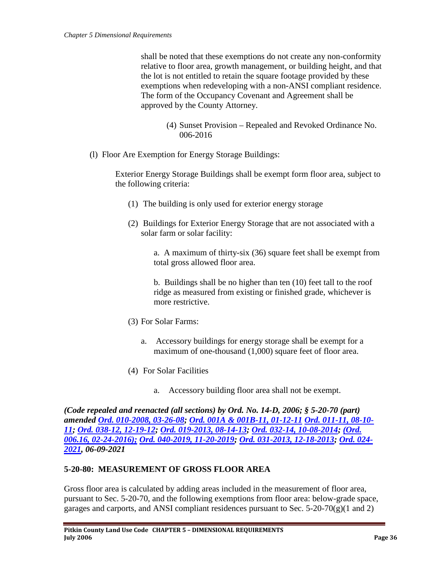shall be noted that these exemptions do not create any non-conformity relative to floor area, growth management, or building height, and that the lot is not entitled to retain the square footage provided by these exemptions when redeveloping with a non-ANSI compliant residence. The form of the Occupancy Covenant and Agreement shall be approved by the County Attorney.

- (4) Sunset Provision Repealed and Revoked Ordinance No. 006-2016
- (l) Floor Are Exemption for Energy Storage Buildings:

Exterior Energy Storage Buildings shall be exempt form floor area, subject to the following criteria:

- (1) The building is only used for exterior energy storage
- (2) Buildings for Exterior Energy Storage that are not associated with a solar farm or solar facility:

a. A maximum of thirty-six (36) square feet shall be exempt from total gross allowed floor area.

b. Buildings shall be no higher than ten (10) feet tall to the roof ridge as measured from existing or finished grade, whichever is more restrictive.

- (3) For Solar Farms:
	- a. Accessory buildings for energy storage shall be exempt for a maximum of one-thousand  $(1,000)$  square feet of floor area.
- (4) For Solar Facilities
	- a. Accessory building floor area shall not be exempt.

*(Code repealed and reenacted (all sections) by Ord. No. 14-D, 2006; § 5-20-70 (part) amended [Ord. 010-2008, 03-26-08;](http://pitkincounty.com/DocumentCenter/View/8254) [Ord. 001A & 001B-11, 01-12-11](http://pitkincounty.com/DocumentCenter/View/8269) [Ord. 011-11, 08-10-](http://pitkincounty.com/DocumentCenter/View/8292) [11;](http://pitkincounty.com/DocumentCenter/View/8292) [Ord. 038-12, 12-19-12;](http://pitkincounty.com/DocumentCenter/View/8272) [Ord. 019-2013, 08-14-13;](http://pitkincounty.com/DocumentCenter/View/12808) [Ord. 032-14, 10-08-2014;](http://pitkincounty.com/DocumentCenter/View/12804) [\(Ord.](https://pitkincounty.com/DocumentCenter/View/12805/boccord0062016)  [006.16, 02-24-2016\);](https://pitkincounty.com/DocumentCenter/View/12805/boccord0062016) [Ord. 040-2019, 11-20-2019;](https://pitkincounty.com/DocumentCenter/View/21568/boccord0402019) [Ord. 031-2013, 12-18-2013;](http://pitkincounty.com/DocumentCenter/View/8280) [Ord. 024-](https://pitkincounty.com/DocumentCenter/View/27850/boccord0242021) [2021,](https://pitkincounty.com/DocumentCenter/View/27850/boccord0242021) 06-09-2021*

## <span id="page-35-0"></span>**5-20-80: MEASUREMENT OF GROSS FLOOR AREA**

Gross floor area is calculated by adding areas included in the measurement of floor area, pursuant to Sec. 5-20-70, and the following exemptions from floor area: below-grade space, garages and carports, and ANSI compliant residences pursuant to Sec.  $5-20-70(g)(1 \text{ and } 2)$